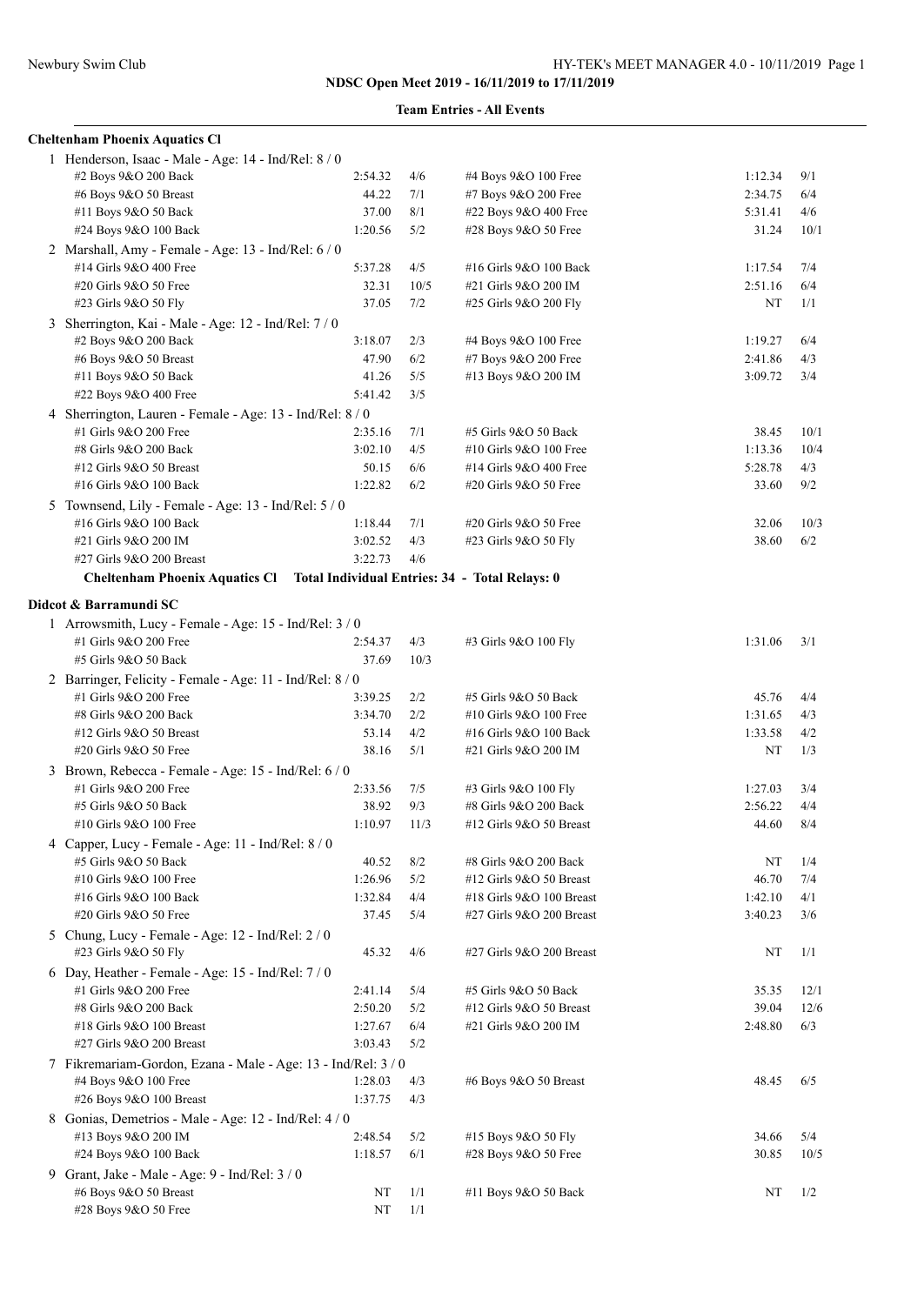| <b>Cheltenham Phoenix Aquatics Cl</b>                                         |         |      |                          |         |      |
|-------------------------------------------------------------------------------|---------|------|--------------------------|---------|------|
| 1 Henderson, Isaac - Male - Age: 14 - Ind/Rel: 8 / 0                          |         |      |                          |         |      |
| #2 Boys 9&O 200 Back                                                          | 2:54.32 | 4/6  | #4 Boys 9&O 100 Free     | 1:12.34 | 9/1  |
| #6 Boys 9&O 50 Breast                                                         | 44.22   | 7/1  | #7 Boys 9&O 200 Free     | 2:34.75 | 6/4  |
| #11 Boys 9&O 50 Back                                                          | 37.00   | 8/1  | #22 Boys 9&O 400 Free    | 5:31.41 | 4/6  |
| #24 Boys 9&O 100 Back                                                         | 1:20.56 | 5/2  | #28 Boys 9&O 50 Free     | 31.24   | 10/1 |
| 2 Marshall, Amy - Female - Age: 13 - Ind/Rel: 6 / 0                           |         |      |                          |         |      |
| #14 Girls 9&O 400 Free                                                        | 5:37.28 | 4/5  | #16 Girls 9&O 100 Back   | 1:17.54 | 7/4  |
| #20 Girls 9&O 50 Free                                                         | 32.31   | 10/5 | #21 Girls 9&O 200 IM     | 2:51.16 | 6/4  |
| #23 Girls 9&O 50 Fly                                                          | 37.05   | 7/2  | #25 Girls 9&O 200 Fly    | NT      | 1/1  |
| 3 Sherrington, Kai - Male - Age: 12 - Ind/Rel: 7 / 0                          |         |      |                          |         |      |
| #2 Boys 9&O 200 Back                                                          | 3:18.07 | 2/3  | #4 Boys 9&O 100 Free     | 1:19.27 | 6/4  |
| #6 Boys 9&O 50 Breast                                                         | 47.90   | 6/2  | #7 Boys 9&O 200 Free     | 2:41.86 | 4/3  |
| #11 Boys 9&O 50 Back                                                          | 41.26   | 5/5  | #13 Boys 9&O 200 IM      | 3:09.72 | 3/4  |
| #22 Boys 9&O 400 Free                                                         | 5:41.42 | 3/5  |                          |         |      |
| 4 Sherrington, Lauren - Female - Age: 13 - Ind/Rel: 8 / 0                     |         |      |                          |         |      |
| #1 Girls 9&O 200 Free                                                         | 2:35.16 | 7/1  | #5 Girls 9&O 50 Back     | 38.45   | 10/1 |
| #8 Girls 9&O 200 Back                                                         | 3:02.10 | 4/5  | #10 Girls 9&O 100 Free   | 1:13.36 | 10/4 |
| #12 Girls 9&O 50 Breast                                                       | 50.15   | 6/6  | #14 Girls 9&O 400 Free   | 5:28.78 | 4/3  |
| #16 Girls 9&O 100 Back                                                        | 1:22.82 | 6/2  | #20 Girls 9&O 50 Free    | 33.60   | 9/2  |
| 5 Townsend, Lily - Female - Age: 13 - Ind/Rel: 5 / 0                          |         |      |                          |         |      |
| #16 Girls 9&O 100 Back                                                        | 1:18.44 | 7/1  | #20 Girls 9&O 50 Free    | 32.06   | 10/3 |
| #21 Girls 9&O 200 IM                                                          | 3:02.52 | 4/3  | #23 Girls 9&O 50 Fly     | 38.60   | 6/2  |
| #27 Girls 9&O 200 Breast                                                      | 3:22.73 | 4/6  |                          |         |      |
| Cheltenham Phoenix Aquatics Cl Total Individual Entries: 34 - Total Relays: 0 |         |      |                          |         |      |
|                                                                               |         |      |                          |         |      |
| Didcot & Barramundi SC                                                        |         |      |                          |         |      |
| 1 Arrowsmith, Lucy - Female - Age: 15 - Ind/Rel: 3 / 0                        |         |      |                          |         |      |
| #1 Girls 9&O 200 Free                                                         | 2:54.37 | 4/3  | #3 Girls 9&O 100 Fly     | 1:31.06 | 3/1  |
| #5 Girls 9&O 50 Back                                                          | 37.69   | 10/3 |                          |         |      |
| 2 Barringer, Felicity - Female - Age: 11 - Ind/Rel: 8 / 0                     |         |      |                          |         |      |
| #1 Girls 9&O 200 Free                                                         | 3:39.25 | 2/2  | #5 Girls 9&O 50 Back     | 45.76   | 4/4  |
| #8 Girls 9&O 200 Back                                                         | 3:34.70 | 2/2  | #10 Girls 9&O 100 Free   | 1:31.65 | 4/3  |
| #12 Girls 9&O 50 Breast                                                       | 53.14   | 4/2  | #16 Girls 9&O 100 Back   | 1:33.58 | 4/2  |
| #20 Girls 9&O 50 Free                                                         | 38.16   | 5/1  | #21 Girls 9&O 200 IM     | NT      | 1/3  |
| 3 Brown, Rebecca - Female - Age: 15 - Ind/Rel: 6 / 0                          |         |      |                          |         |      |
| #1 Girls 9&O 200 Free                                                         | 2:33.56 | 7/5  | #3 Girls 9&O 100 Fly     | 1:27.03 | 3/4  |
| #5 Girls 9&O 50 Back                                                          | 38.92   | 9/3  | #8 Girls 9&O 200 Back    | 2:56.22 | 4/4  |
| #10 Girls 9&O 100 Free                                                        | 1:10.97 | 11/3 | #12 Girls 9&O 50 Breast  | 44.60   | 8/4  |
| 4 Capper, Lucy - Female - Age: 11 - Ind/Rel: 8 / 0                            |         |      |                          |         |      |
| #5 Girls 9&O 50 Back                                                          | 40.52   | 8/2  | #8 Girls 9&O 200 Back    | NT      | 1/4  |
| #10 Girls 9&O 100 Free                                                        | 1:26.96 | 5/2  | #12 Girls 9&O 50 Breast  | 46.70   | 7/4  |
| #16 Girls 9&O 100 Back                                                        | 1:32.84 | 4/4  | #18 Girls 9&O 100 Breast | 1:42.10 | 4/1  |
| #20 Girls 9&O 50 Free                                                         | 37.45   | 5/4  | #27 Girls 9&O 200 Breast | 3:40.23 | 3/6  |
| 5 Chung, Lucy - Female - Age: 12 - Ind/Rel: 2 / 0                             |         |      |                          |         |      |
| #23 Girls 9&O 50 Fly                                                          | 45.32   | 4/6  | #27 Girls 9&O 200 Breast | NT      | 1/1  |
| 6 Day, Heather - Female - Age: 15 - Ind/Rel: 7 / 0                            |         |      |                          |         |      |
| #1 Girls 9&O 200 Free                                                         | 2:41.14 | 5/4  | #5 Girls 9&O 50 Back     | 35.35   | 12/1 |
| #8 Girls 9&O 200 Back                                                         | 2:50.20 | 5/2  | #12 Girls 9&O 50 Breast  | 39.04   | 12/6 |
| #18 Girls 9&O 100 Breast                                                      | 1:27.67 | 6/4  | #21 Girls 9&O 200 IM     | 2:48.80 | 6/3  |
| #27 Girls 9&O 200 Breast                                                      | 3:03.43 | 5/2  |                          |         |      |
| 7 Fikremariam-Gordon, Ezana - Male - Age: 13 - Ind/Rel: 3 / 0                 |         |      |                          |         |      |
| #4 Boys 9&O 100 Free                                                          | 1:28.03 | 4/3  | #6 Boys 9&O 50 Breast    | 48.45   | 6/5  |
| #26 Boys 9&O 100 Breast                                                       | 1:37.75 | 4/3  |                          |         |      |
| 8 Gonias, Demetrios - Male - Age: 12 - Ind/Rel: 4 / 0                         |         |      |                          |         |      |
| #13 Boys 9&O 200 IM                                                           | 2:48.54 | 5/2  | #15 Boys 9&O 50 Fly      | 34.66   | 5/4  |
| #24 Boys 9&O 100 Back                                                         | 1:18.57 | 6/1  | #28 Boys 9&O 50 Free     | 30.85   | 10/5 |
| 9 Grant, Jake - Male - Age: 9 - Ind/Rel: 3 / 0                                |         |      |                          |         |      |
| #6 Boys 9&O 50 Breast                                                         | NT      | 1/1  | #11 Boys 9&O 50 Back     | NT      | 1/2  |
| #28 Boys 9&O 50 Free                                                          | NT      | 1/1  |                          |         |      |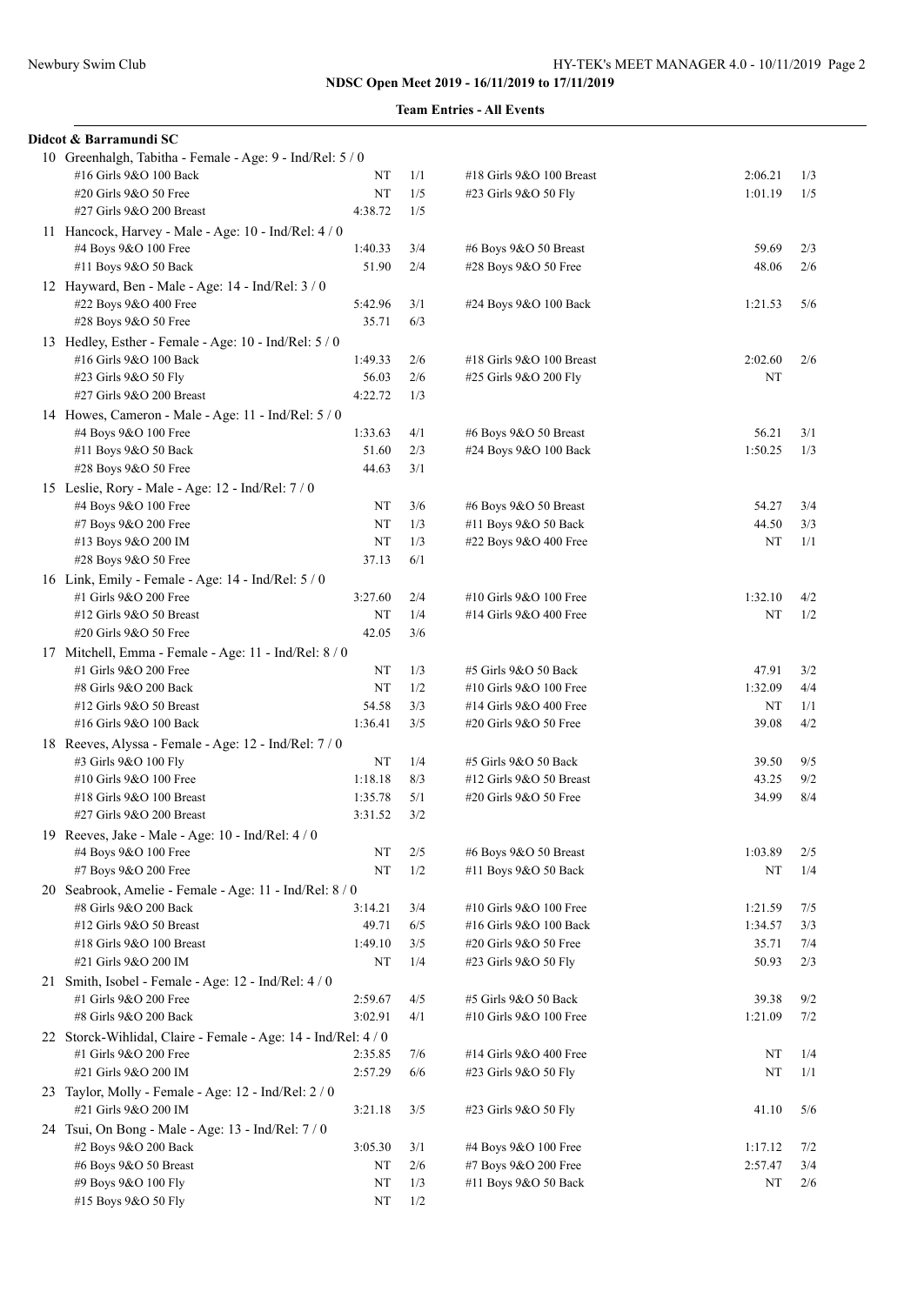| Didcot & Barramundi SC                                         |         |     |                           |         |     |
|----------------------------------------------------------------|---------|-----|---------------------------|---------|-----|
| 10 Greenhalgh, Tabitha - Female - Age: 9 - Ind/Rel: 5 / 0      |         |     |                           |         |     |
| #16 Girls 9&O 100 Back                                         | NT      | 1/1 | #18 Girls 9&O 100 Breast  | 2:06.21 | 1/3 |
| #20 Girls 9&O 50 Free                                          | NT      | 1/5 | #23 Girls 9&O 50 Fly      | 1:01.19 | 1/5 |
| #27 Girls 9&O 200 Breast                                       | 4:38.72 | 1/5 |                           |         |     |
| 11 Hancock, Harvey - Male - Age: 10 - Ind/Rel: 4 / 0           |         |     |                           |         |     |
| #4 Boys 9&O 100 Free                                           | 1:40.33 | 3/4 | #6 Boys 9&O 50 Breast     | 59.69   | 2/3 |
| #11 Boys 9&O 50 Back                                           | 51.90   | 2/4 | #28 Boys 9&O 50 Free      | 48.06   | 2/6 |
|                                                                |         |     |                           |         |     |
| 12 Hayward, Ben - Male - Age: 14 - Ind/Rel: 3 / 0              | 5:42.96 | 3/1 | #24 Boys 9&O 100 Back     | 1:21.53 |     |
| #22 Boys 9&O 400 Free                                          |         |     |                           |         | 5/6 |
| #28 Boys 9&O 50 Free                                           | 35.71   | 6/3 |                           |         |     |
| 13 Hedley, Esther - Female - Age: 10 - Ind/Rel: 5 / 0          |         |     |                           |         |     |
| #16 Girls 9&O 100 Back                                         | 1:49.33 | 2/6 | #18 Girls 9&O 100 Breast  | 2:02.60 | 2/6 |
| #23 Girls 9&O 50 Fly                                           | 56.03   | 2/6 | #25 Girls 9&O 200 Fly     | NT      |     |
| #27 Girls 9&O 200 Breast                                       | 4:22.72 | 1/3 |                           |         |     |
| 14 Howes, Cameron - Male - Age: 11 - Ind/Rel: 5 / 0            |         |     |                           |         |     |
| #4 Boys 9&O 100 Free                                           | 1:33.63 | 4/1 | #6 Boys 9&O 50 Breast     | 56.21   | 3/1 |
| #11 Boys 9&O 50 Back                                           | 51.60   | 2/3 | #24 Boys 9&O 100 Back     | 1:50.25 | 1/3 |
| #28 Boys 9&O 50 Free                                           | 44.63   | 3/1 |                           |         |     |
| 15 Leslie, Rory - Male - Age: 12 - Ind/Rel: 7 / 0              |         |     |                           |         |     |
| #4 Boys 9&O 100 Free                                           | NT      | 3/6 | #6 Boys 9&O 50 Breast     | 54.27   | 3/4 |
| #7 Boys 9&O 200 Free                                           | NT      | 1/3 | #11 Boys 9&O 50 Back      | 44.50   | 3/3 |
| #13 Boys 9&O 200 IM                                            | NT      | 1/3 | #22 Boys 9&O 400 Free     | NT      | 1/1 |
| #28 Boys 9&O 50 Free                                           | 37.13   | 6/1 |                           |         |     |
|                                                                |         |     |                           |         |     |
| 16 Link, Emily - Female - Age: 14 - Ind/Rel: 5/0               |         |     |                           |         |     |
| #1 Girls 9&O 200 Free                                          | 3:27.60 | 2/4 | #10 Girls 9&O 100 Free    | 1:32.10 | 4/2 |
| #12 Girls 9&O 50 Breast                                        | NT      | 1/4 | #14 Girls 9&O 400 Free    | NT      | 1/2 |
| #20 Girls 9&O 50 Free                                          | 42.05   | 3/6 |                           |         |     |
| 17 Mitchell, Emma - Female - Age: 11 - Ind/Rel: $8/0$          |         |     |                           |         |     |
| #1 Girls 9&O 200 Free                                          | NT      | 1/3 | #5 Girls 9&O 50 Back      | 47.91   | 3/2 |
| #8 Girls 9&O 200 Back                                          | NT      | 1/2 | #10 Girls 9&O 100 Free    | 1:32.09 | 4/4 |
| #12 Girls 9&O 50 Breast                                        | 54.58   | 3/3 | #14 Girls 9&O 400 Free    | NT      | 1/1 |
| #16 Girls 9&O 100 Back                                         | 1:36.41 | 3/5 | #20 Girls 9&O 50 Free     | 39.08   | 4/2 |
| 18 Reeves, Alyssa - Female - Age: 12 - Ind/Rel: 7/0            |         |     |                           |         |     |
| #3 Girls 9&O 100 Fly                                           | NT      | 1/4 | #5 Girls 9&O 50 Back      | 39.50   | 9/5 |
| #10 Girls 9&O 100 Free                                         | 1:18.18 | 8/3 | #12 Girls $9&O 50$ Breast | 43.25   | 9/2 |
| #18 Girls 9&O 100 Breast                                       | 1:35.78 | 5/1 | #20 Girls 9&O 50 Free     | 34.99   | 8/4 |
| #27 Girls 9&O 200 Breast                                       | 3:31.52 | 3/2 |                           |         |     |
| 19 Reeves, Jake - Male - Age: 10 - Ind/Rel: 4 / 0              |         |     |                           |         |     |
| #4 Boys 9&O 100 Free                                           | NT      | 2/5 | #6 Boys 9&O 50 Breast     | 1:03.89 | 2/5 |
| #7 Boys 9&O 200 Free                                           | NT      | 1/2 | #11 Boys 9&O 50 Back      | NT      | 1/4 |
| 20 Seabrook, Amelie - Female - Age: 11 - Ind/Rel: 8 / 0        |         |     |                           |         |     |
| #8 Girls 9&O 200 Back                                          | 3:14.21 | 3/4 | #10 Girls 9&O 100 Free    | 1:21.59 |     |
|                                                                |         |     |                           |         | 7/5 |
| #12 Girls 9&O 50 Breast                                        | 49.71   | 6/5 | #16 Girls 9&O 100 Back    | 1:34.57 | 3/3 |
| #18 Girls 9&O 100 Breast                                       | 1:49.10 | 3/5 | #20 Girls 9&O 50 Free     | 35.71   | 7/4 |
| #21 Girls 9&O 200 IM                                           | NT      | 1/4 | #23 Girls 9&O 50 Fly      | 50.93   | 2/3 |
| 21 Smith, Isobel - Female - Age: 12 - Ind/Rel: 4/0             |         |     |                           |         |     |
| #1 Girls 9&O 200 Free                                          | 2:59.67 | 4/5 | #5 Girls 9&O 50 Back      | 39.38   | 9/2 |
| #8 Girls 9&O 200 Back                                          | 3:02.91 | 4/1 | #10 Girls 9&O 100 Free    | 1:21.09 | 7/2 |
| 22 Storck-Wihlidal, Claire - Female - Age: 14 - Ind/Rel: 4 / 0 |         |     |                           |         |     |
| #1 Girls 9&O 200 Free                                          | 2:35.85 | 7/6 | #14 Girls 9&O 400 Free    | NT      | 1/4 |
| #21 Girls 9&O 200 IM                                           | 2:57.29 | 6/6 | #23 Girls 9&O 50 Fly      | NT      | 1/1 |
| 23 Taylor, Molly - Female - Age: 12 - Ind/Rel: 2 / 0           |         |     |                           |         |     |
| #21 Girls 9&O 200 IM                                           | 3:21.18 | 3/5 | #23 Girls 9&O 50 Fly      | 41.10   | 5/6 |
| 24 Tsui, On Bong - Male - Age: 13 - Ind/Rel: 7 / 0             |         |     |                           |         |     |
| #2 Boys 9&O 200 Back                                           | 3:05.30 | 3/1 | #4 Boys 9&O 100 Free      | 1:17.12 | 7/2 |
| #6 Boys 9&O 50 Breast                                          | NT      | 2/6 | #7 Boys 9&O 200 Free      | 2:57.47 | 3/4 |
| #9 Boys 9&O 100 Fly                                            | NT      | 1/3 | #11 Boys 9&O 50 Back      | NT      | 2/6 |
|                                                                |         | 1/2 |                           |         |     |
| #15 Boys 9&O 50 Fly                                            | NT      |     |                           |         |     |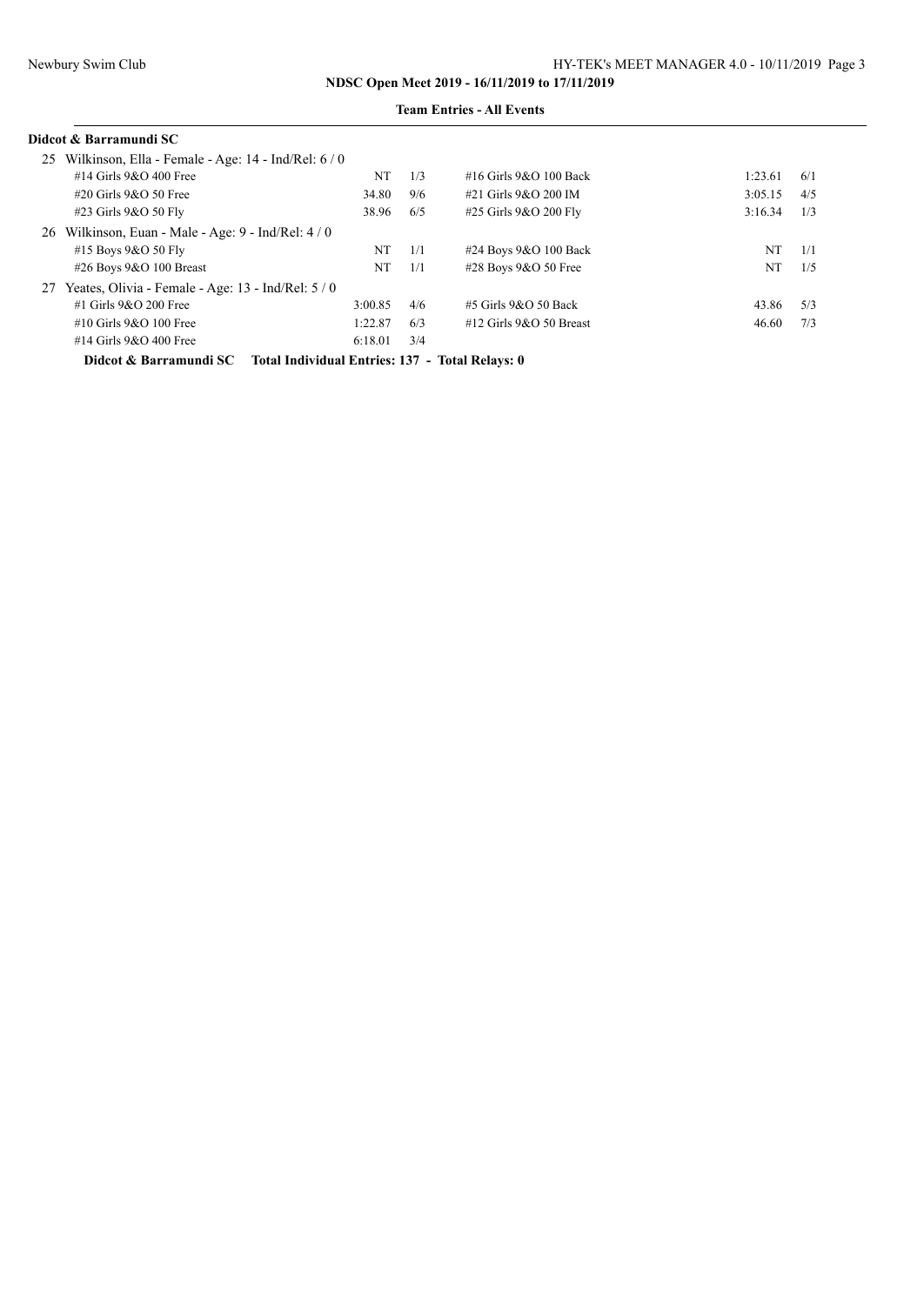|    | Didcot & Barramundi SC                                |                                                 |     |                            |         |     |
|----|-------------------------------------------------------|-------------------------------------------------|-----|----------------------------|---------|-----|
| 25 | Wilkinson, Ella - Female - Age: $14$ - Ind/Rel: $6/0$ |                                                 |     |                            |         |     |
|    | $#14$ Girls $9&O$ 400 Free                            | NT                                              | 1/3 | $#16$ Girls $9&O$ 100 Back | 1:23.61 | 6/1 |
|    | $\#20$ Girls 9&O 50 Free                              | 34.80                                           | 9/6 | #21 Girls 9&O 200 IM       | 3:05.15 | 4/5 |
|    | #23 Girls 9&O 50 Fly                                  | 38.96                                           | 6/5 | #25 Girls 9&O 200 Fly      | 3:16.34 | 1/3 |
| 26 | Wilkinson, Euan - Male - Age: 9 - Ind/Rel: 4 / 0      |                                                 |     |                            |         |     |
|    | #15 Boys $9&O 50$ Fly                                 | NT                                              | 1/1 | #24 Boys 9&O 100 Back      | NT      | 1/1 |
|    | #26 Boys $9&O$ 100 Breast                             | NT                                              | 1/1 | $\#28$ Boys 9&O 50 Free    | NT      | 1/5 |
| 27 | Yeates, Olivia - Female - Age: 13 - Ind/Rel: 5 / 0    |                                                 |     |                            |         |     |
|    | $#1$ Girls $9&O$ 200 Free                             | 3:00.85                                         | 4/6 | $#5$ Girls $9&O$ 50 Back   | 43.86   | 5/3 |
|    | $\#10$ Girls 9&O 100 Free                             | 1:22.87                                         | 6/3 | #12 Girls $9&O 50$ Breast  | 46.60   | 7/3 |
|    | $\#14$ Girls 9&O 400 Free                             | 6:18.01                                         | 3/4 |                            |         |     |
|    | Didcot & Barramundi SC                                | Total Individual Entries: 137 - Total Relays: 0 |     |                            |         |     |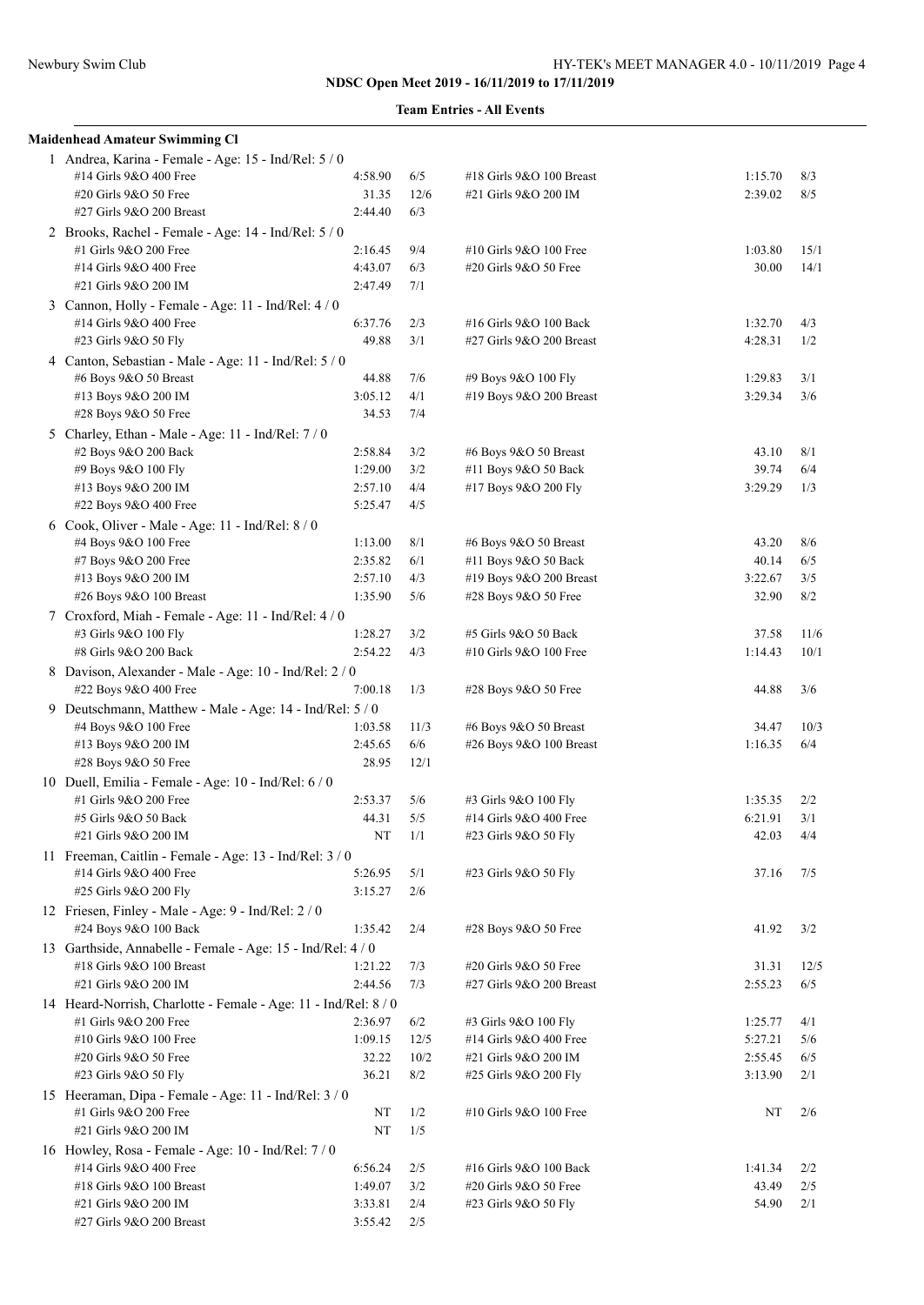| <b>Maidenhead Amateur Swimming Cl</b>                                      |                    |            |                          |                |            |
|----------------------------------------------------------------------------|--------------------|------------|--------------------------|----------------|------------|
| 1 Andrea, Karina - Female - Age: 15 - Ind/Rel: 5 / 0                       |                    |            |                          |                |            |
| #14 Girls 9&O 400 Free                                                     | 4:58.90            | 6/5        | #18 Girls 9&O 100 Breast | 1:15.70        | 8/3        |
| #20 Girls 9&O 50 Free                                                      | 31.35              | 12/6       | #21 Girls 9&O 200 IM     | 2:39.02        | 8/5        |
| #27 Girls 9&O 200 Breast                                                   | 2:44.40            | 6/3        |                          |                |            |
| 2 Brooks, Rachel - Female - Age: 14 - Ind/Rel: 5 / 0                       |                    |            |                          |                |            |
| #1 Girls 9&O 200 Free                                                      | 2:16.45            | 9/4        | #10 Girls 9&O 100 Free   | 1:03.80        | 15/1       |
| #14 Girls 9&O 400 Free                                                     | 4:43.07            | 6/3        | #20 Girls 9&O 50 Free    | 30.00          | 14/1       |
| #21 Girls 9&O 200 IM                                                       | 2:47.49            | 7/1        |                          |                |            |
| 3 Cannon, Holly - Female - Age: 11 - Ind/Rel: 4 / 0                        |                    |            |                          |                |            |
| #14 Girls 9&O 400 Free                                                     | 6:37.76            | 2/3        | #16 Girls 9&O 100 Back   | 1:32.70        | 4/3        |
| #23 Girls 9&O 50 Fly                                                       | 49.88              | 3/1        | #27 Girls 9&O 200 Breast | 4:28.31        | 1/2        |
| 4 Canton, Sebastian - Male - Age: 11 - Ind/Rel: 5 / 0                      |                    |            |                          |                |            |
| #6 Boys 9&O 50 Breast                                                      | 44.88              | 7/6        | #9 Boys 9&O 100 Fly      | 1:29.83        | 3/1        |
| #13 Boys 9&O 200 IM                                                        | 3:05.12            | 4/1        | #19 Boys 9&O 200 Breast  | 3:29.34        | 3/6        |
| #28 Boys 9&O 50 Free                                                       | 34.53              | 7/4        |                          |                |            |
| 5 Charley, Ethan - Male - Age: 11 - Ind/Rel: 7 / 0                         |                    |            |                          |                |            |
| #2 Boys 9&O 200 Back                                                       | 2:58.84            | 3/2        | #6 Boys 9&O 50 Breast    | 43.10          | 8/1        |
| #9 Boys 9&O 100 Fly                                                        | 1:29.00            | 3/2        | #11 Boys 9&O 50 Back     | 39.74          | 6/4        |
| #13 Boys 9&O 200 IM                                                        | 2:57.10            | 4/4        | #17 Boys 9&O 200 Fly     | 3:29.29        | 1/3        |
| #22 Boys 9&O 400 Free                                                      | 5:25.47            | 4/5        |                          |                |            |
|                                                                            |                    |            |                          |                |            |
| 6 Cook, Oliver - Male - Age: $11$ - Ind/Rel: $8/0$<br>#4 Boys 9&O 100 Free | 1:13.00            | 8/1        | #6 Boys 9&O 50 Breast    | 43.20          | 8/6        |
| #7 Boys 9&O 200 Free                                                       | 2:35.82            | 6/1        | #11 Boys 9&O 50 Back     | 40.14          | 6/5        |
|                                                                            | 2:57.10            | 4/3        |                          | 3:22.67        |            |
| #13 Boys 9&O 200 IM                                                        | 1:35.90            | 5/6        | #19 Boys 9&O 200 Breast  | 32.90          | 3/5<br>8/2 |
| #26 Boys 9&O 100 Breast                                                    |                    |            | #28 Boys 9&O 50 Free     |                |            |
| 7 Croxford, Miah - Female - Age: 11 - Ind/Rel: 4 / 0                       |                    |            |                          |                |            |
| #3 Girls 9&O 100 Fly                                                       | 1:28.27            | 3/2        | #5 Girls 9&O 50 Back     | 37.58          | 11/6       |
| #8 Girls 9&O 200 Back                                                      | 2:54.22            | 4/3        | #10 Girls 9&O 100 Free   | 1:14.43        | 10/1       |
| 8 Davison, Alexander - Male - Age: 10 - Ind/Rel: 2 / 0                     |                    |            |                          |                |            |
| #22 Boys 9&O 400 Free                                                      | 7:00.18            | 1/3        | #28 Boys 9&O 50 Free     | 44.88          | 3/6        |
| 9 Deutschmann, Matthew - Male - Age: 14 - Ind/Rel: 5 / 0                   |                    |            |                          |                |            |
| #4 Boys 9&O 100 Free                                                       | 1:03.58            | 11/3       | #6 Boys 9&O 50 Breast    | 34.47          | 10/3       |
| #13 Boys 9&O 200 IM                                                        | 2:45.65            | 6/6        | #26 Boys 9&O 100 Breast  | 1:16.35        | 6/4        |
| #28 Boys 9&O 50 Free                                                       | 28.95              | 12/1       |                          |                |            |
| 10 Duell, Emilia - Female - Age: 10 - Ind/Rel: 6 / 0                       |                    |            |                          |                |            |
| #1 Girls 9&O 200 Free                                                      | 2:53.37            | 5/6        | #3 Girls 9&O 100 Fly     | 1:35.35        | 2/2        |
| #5 Girls 9&O 50 Back                                                       | 44.31              | 5/5        | #14 Girls 9&O 400 Free   | 6:21.91        | 3/1        |
| #21 Girls 9&O 200 IM                                                       | NT                 | 1/1        | #23 Girls 9&O 50 Fly     | 42.03          | 4/4        |
| 11 Freeman, Caitlin - Female - Age: 13 - Ind/Rel: 3 / 0                    |                    |            |                          |                |            |
| #14 Girls 9&O 400 Free                                                     | 5:26.95            | 5/1        | #23 Girls 9&O 50 Fly     | 37.16          | 7/5        |
| #25 Girls 9&O 200 Fly                                                      | 3:15.27            | 2/6        |                          |                |            |
| 12 Friesen, Finley - Male - Age: 9 - Ind/Rel: 2 / 0                        |                    |            |                          |                |            |
| #24 Boys 9&O 100 Back                                                      | 1:35.42            | 2/4        | #28 Boys 9&O 50 Free     | 41.92          | 3/2        |
| 13 Garthside, Annabelle - Female - Age: 15 - Ind/Rel: 4 / 0                |                    |            |                          |                |            |
| #18 Girls 9&O 100 Breast                                                   | 1:21.22            | 7/3        | #20 Girls 9&O 50 Free    | 31.31          | 12/5       |
| #21 Girls 9&O 200 IM                                                       | 2:44.56            | 7/3        | #27 Girls 9&O 200 Breast | 2:55.23        | 6/5        |
| 14 Heard-Norrish, Charlotte - Female - Age: 11 - Ind/Rel: 8 / 0            |                    |            |                          |                |            |
| #1 Girls 9&O 200 Free                                                      | 2:36.97            | 6/2        | #3 Girls 9&O 100 Fly     | 1:25.77        | 4/1        |
| #10 Girls 9&O 100 Free                                                     | 1:09.15            | 12/5       | #14 Girls 9&O 400 Free   | 5:27.21        | 5/6        |
| #20 Girls 9&O 50 Free                                                      | 32.22              | 10/2       | #21 Girls 9&O 200 IM     | 2:55.45        | 6/5        |
| #23 Girls 9&O 50 Fly                                                       | 36.21              | 8/2        | #25 Girls 9&O 200 Fly    | 3:13.90        | 2/1        |
| 15 Heeraman, Dipa - Female - Age: 11 - Ind/Rel: 3 / 0                      |                    |            |                          |                |            |
| #1 Girls 9&O 200 Free                                                      | NT                 | 1/2        | #10 Girls 9&O 100 Free   | NT             | 2/6        |
| #21 Girls 9&O 200 IM                                                       | NT                 | 1/5        |                          |                |            |
|                                                                            |                    |            |                          |                |            |
| 16 Howley, Rosa - Female - Age: 10 - Ind/Rel: 7 / 0                        |                    |            |                          |                |            |
| #14 Girls 9&O 400 Free                                                     | 6:56.24<br>1:49.07 | 2/5        | #16 Girls 9&O 100 Back   | 1:41.34        | 2/2        |
| #18 Girls 9&O 100 Breast<br>#21 Girls 9&O 200 IM                           | 3:33.81            | 3/2<br>2/4 | #20 Girls 9&O 50 Free    | 43.49<br>54.90 | 2/5<br>2/1 |
| #27 Girls 9&O 200 Breast                                                   | 3:55.42            | $2/5$      | #23 Girls 9&O 50 Fly     |                |            |
|                                                                            |                    |            |                          |                |            |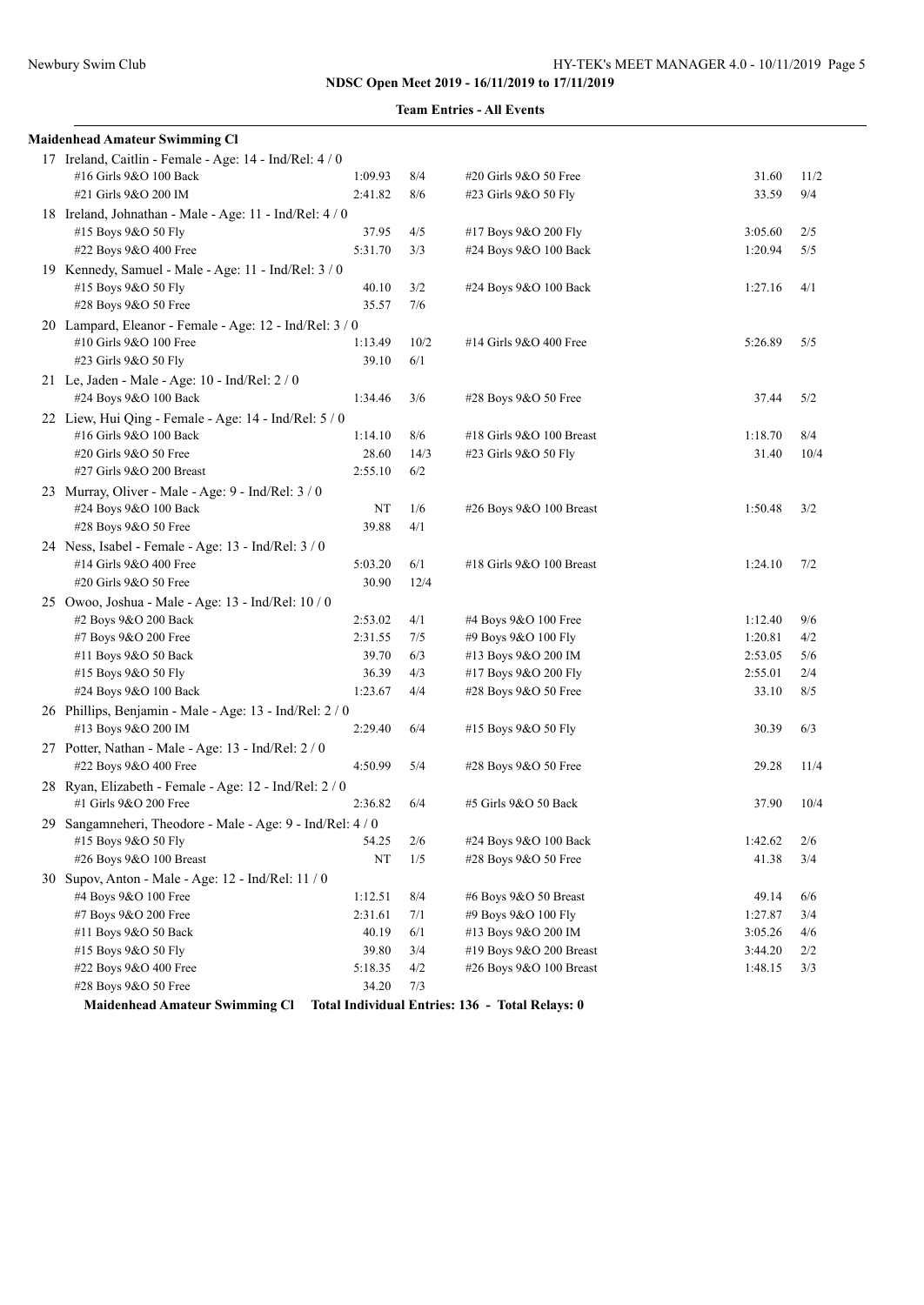|  | <b>Team Entries - All Events</b> |  |  |
|--|----------------------------------|--|--|
|--|----------------------------------|--|--|

| <b>Maidenhead Amateur Swimming Cl</b>                      |                    |            |                                                 |                    |            |
|------------------------------------------------------------|--------------------|------------|-------------------------------------------------|--------------------|------------|
| 17 Ireland, Caitlin - Female - Age: 14 - Ind/Rel: 4 / 0    |                    |            |                                                 |                    |            |
| #16 Girls 9&O 100 Back                                     | 1:09.93            | 8/4        | #20 Girls 9&O 50 Free                           | 31.60              | 11/2       |
| #21 Girls 9&O 200 IM                                       | 2:41.82            | 8/6        | #23 Girls 9&O 50 Fly                            | 33.59              | 9/4        |
| 18 Ireland, Johnathan - Male - Age: 11 - Ind/Rel: 4 / 0    |                    |            |                                                 |                    |            |
| #15 Boys 9&O 50 Fly                                        | 37.95              | 4/5        | #17 Boys 9&O 200 Fly                            | 3:05.60            | 2/5        |
| #22 Boys 9&O 400 Free                                      | 5:31.70            | 3/3        | #24 Boys 9&O 100 Back                           | 1:20.94            | 5/5        |
| 19 Kennedy, Samuel - Male - Age: 11 - Ind/Rel: 3 / 0       |                    |            |                                                 |                    |            |
| #15 Boys 9&O 50 Fly                                        | 40.10              | 3/2        | #24 Boys 9&O 100 Back                           | 1:27.16            | 4/1        |
| #28 Boys 9&O 50 Free                                       | 35.57              | 7/6        |                                                 |                    |            |
| 20 Lampard, Eleanor - Female - Age: 12 - Ind/Rel: 3 / 0    |                    |            |                                                 |                    |            |
| #10 Girls 9&O 100 Free                                     | 1:13.49            | 10/2       | #14 Girls 9&O 400 Free                          | 5:26.89            | 5/5        |
| #23 Girls 9&O 50 Fly                                       | 39.10              | 6/1        |                                                 |                    |            |
| 21 Le, Jaden - Male - Age: 10 - Ind/Rel: 2 / 0             |                    |            |                                                 |                    |            |
| #24 Boys 9&O 100 Back                                      | 1:34.46            | 3/6        | #28 Boys 9&O 50 Free                            | 37.44              | 5/2        |
| 22 Liew, Hui Qing - Female - Age: 14 - Ind/Rel: 5 / 0      |                    |            |                                                 |                    |            |
| #16 Girls 9&O 100 Back                                     | 1:14.10            | 8/6        | #18 Girls 9&O 100 Breast                        | 1:18.70            | 8/4        |
| #20 Girls 9&O 50 Free                                      | 28.60              | 14/3       | #23 Girls 9&O 50 Fly                            | 31.40              | 10/4       |
| #27 Girls 9&O 200 Breast                                   | 2:55.10            | 6/2        |                                                 |                    |            |
| 23 Murray, Oliver - Male - Age: 9 - Ind/Rel: 3 / 0         |                    |            |                                                 |                    |            |
| #24 Boys 9&O 100 Back                                      | NT                 | 1/6        | #26 Boys 9&O 100 Breast                         | 1:50.48            | 3/2        |
| #28 Boys 9&O 50 Free                                       | 39.88              | 4/1        |                                                 |                    |            |
| 24 Ness, Isabel - Female - Age: 13 - Ind/Rel: 3 / 0        |                    |            |                                                 |                    |            |
| #14 Girls 9&O 400 Free                                     | 5:03.20            | 6/1        | #18 Girls 9&O 100 Breast                        | 1:24.10            | 7/2        |
| #20 Girls 9&O 50 Free                                      | 30.90              | 12/4       |                                                 |                    |            |
|                                                            |                    |            |                                                 |                    |            |
| 25 Owoo, Joshua - Male - Age: 13 - Ind/Rel: 10 / 0         |                    |            |                                                 |                    |            |
| #2 Boys 9&O 200 Back                                       | 2:53.02<br>2:31.55 | 4/1<br>7/5 | #4 Boys 9&O 100 Free                            | 1:12.40<br>1:20.81 | 9/6<br>4/2 |
| #7 Boys 9&O 200 Free<br>#11 Boys 9&O 50 Back               | 39.70              | 6/3        | #9 Boys 9&O 100 Fly<br>#13 Boys 9&O 200 IM      | 2:53.05            | 5/6        |
| #15 Boys 9&O 50 Fly                                        | 36.39              | 4/3        | #17 Boys 9&O 200 Fly                            | 2:55.01            | 2/4        |
| #24 Boys 9&O 100 Back                                      | 1:23.67            | 4/4        | #28 Boys 9&O 50 Free                            | 33.10              | 8/5        |
|                                                            |                    |            |                                                 |                    |            |
| 26 Phillips, Benjamin - Male - Age: 13 - Ind/Rel: 2 / 0    |                    |            |                                                 |                    |            |
| #13 Boys 9&O 200 IM                                        | 2:29.40            | 6/4        | #15 Boys 9&O 50 Fly                             | 30.39              | 6/3        |
| 27 Potter, Nathan - Male - Age: 13 - Ind/Rel: 2 / 0        |                    |            |                                                 |                    |            |
| #22 Boys 9&O 400 Free                                      | 4:50.99            | 5/4        | #28 Boys 9&O 50 Free                            | 29.28              | 11/4       |
| 28 Ryan, Elizabeth - Female - Age: 12 - Ind/Rel: 2 / 0     |                    |            |                                                 |                    |            |
| #1 Girls 9&O 200 Free                                      | 2:36.82            | 6/4        | #5 Girls 9&O 50 Back                            | 37.90              | 10/4       |
| 29 Sangamneheri, Theodore - Male - Age: 9 - Ind/Rel: 4 / 0 |                    |            |                                                 |                    |            |
| #15 Boys 9&O 50 Fly                                        | 54.25              | $2/6$      | #24 Boys 9&O 100 Back                           | 1:42.62            | $2/6$      |
| #26 Boys 9&O 100 Breast                                    | NT                 | 1/5        | #28 Boys 9&O 50 Free                            | 41.38              | 3/4        |
| 30 Supov, Anton - Male - Age: 12 - Ind/Rel: 11 / 0         |                    |            |                                                 |                    |            |
| #4 Boys 9&O 100 Free                                       | 1:12.51            | 8/4        | #6 Boys 9&O 50 Breast                           | 49.14              | 6/6        |
| #7 Boys 9&O 200 Free                                       | 2:31.61            | 7/1        | #9 Boys 9&O 100 Fly                             | 1:27.87            | 3/4        |
| #11 Boys 9&O 50 Back                                       | 40.19              | 6/1        | #13 Boys 9&O 200 IM                             | 3:05.26            | 4/6        |
| #15 Boys 9&O 50 Fly                                        | 39.80              | 3/4        | #19 Boys 9&O 200 Breast                         | 3:44.20            | 2/2        |
| #22 Boys 9&O 400 Free                                      | 5:18.35            | 4/2        | #26 Boys 9&O 100 Breast                         | 1:48.15            | 3/3        |
| #28 Boys 9&O 50 Free                                       | 34.20              | 7/3        |                                                 |                    |            |
| <b>Maidenhead Amateur Swimming Cl</b>                      |                    |            | Total Individual Entries: 136 - Total Relays: 0 |                    |            |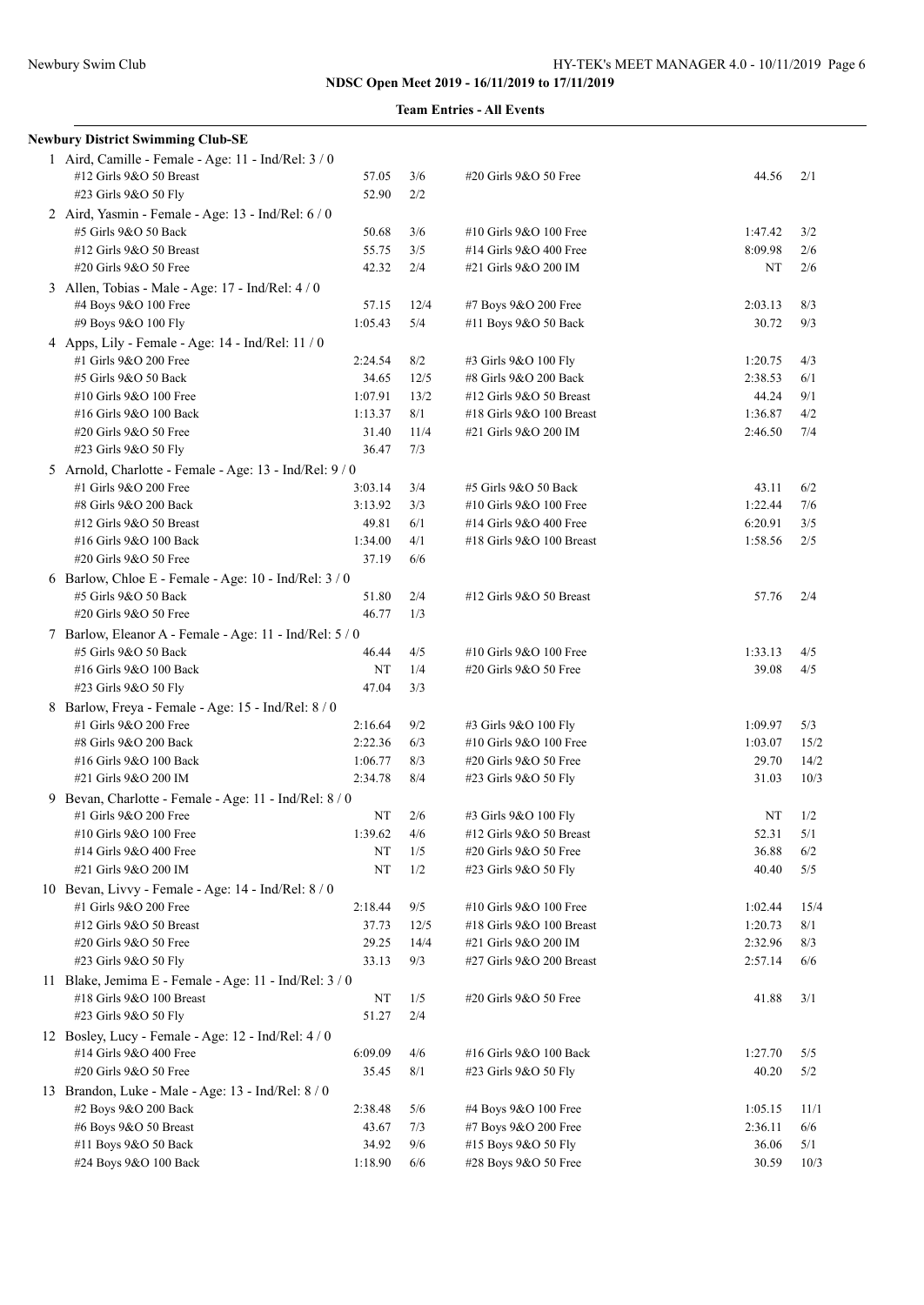| Newbury District Swimming Club-SE                                                  |         |      |                          |         |      |
|------------------------------------------------------------------------------------|---------|------|--------------------------|---------|------|
| 1 Aird, Camille - Female - Age: 11 - Ind/Rel: 3 / 0                                |         |      |                          |         |      |
| #12 Girls 9&O 50 Breast                                                            | 57.05   | 3/6  | #20 Girls 9&O 50 Free    | 44.56   | 2/1  |
| #23 Girls 9&O 50 Fly                                                               | 52.90   | 2/2  |                          |         |      |
| 2 Aird, Yasmin - Female - Age: 13 - Ind/Rel: 6 / 0                                 |         |      |                          |         |      |
| #5 Girls 9&O 50 Back                                                               | 50.68   | 3/6  | #10 Girls 9&O 100 Free   | 1:47.42 | 3/2  |
| #12 Girls 9&O 50 Breast                                                            | 55.75   | 3/5  | #14 Girls 9&O 400 Free   | 8:09.98 | 2/6  |
| #20 Girls 9&O 50 Free                                                              | 42.32   | 2/4  | #21 Girls 9&O 200 IM     | NT      | 2/6  |
| 3 Allen, Tobias - Male - Age: 17 - Ind/Rel: 4 / 0                                  |         |      |                          |         |      |
| #4 Boys 9&O 100 Free                                                               | 57.15   | 12/4 | #7 Boys 9&O 200 Free     | 2:03.13 | 8/3  |
| #9 Boys 9&O 100 Fly                                                                | 1:05.43 | 5/4  | #11 Boys 9&O 50 Back     | 30.72   | 9/3  |
| 4 Apps, Lily - Female - Age: 14 - Ind/Rel: 11 / 0                                  |         |      |                          |         |      |
| #1 Girls 9&O 200 Free                                                              | 2:24.54 | 8/2  | #3 Girls 9&O 100 Fly     | 1:20.75 | 4/3  |
| #5 Girls 9&O 50 Back                                                               | 34.65   | 12/5 | #8 Girls 9&O 200 Back    | 2:38.53 | 6/1  |
| #10 Girls 9&O 100 Free                                                             | 1:07.91 | 13/2 | #12 Girls 9&O 50 Breast  | 44.24   | 9/1  |
| #16 Girls 9&O 100 Back                                                             | 1:13.37 | 8/1  | #18 Girls 9&O 100 Breast | 1:36.87 | 4/2  |
| #20 Girls 9&O 50 Free                                                              | 31.40   | 11/4 | #21 Girls 9&O 200 IM     | 2:46.50 | 7/4  |
| #23 Girls 9&O 50 Fly                                                               | 36.47   | 7/3  |                          |         |      |
| 5 Arnold, Charlotte - Female - Age: 13 - Ind/Rel: 9 / 0                            |         |      |                          |         |      |
| #1 Girls 9&O 200 Free                                                              | 3:03.14 | 3/4  | #5 Girls 9&O 50 Back     | 43.11   | 6/2  |
| #8 Girls 9&O 200 Back                                                              | 3:13.92 | 3/3  | #10 Girls 9&O 100 Free   | 1:22.44 | 7/6  |
| #12 Girls 9&O 50 Breast                                                            | 49.81   | 6/1  | #14 Girls 9&O 400 Free   | 6:20.91 | 3/5  |
| #16 Girls 9&O 100 Back                                                             | 1:34.00 | 4/1  | #18 Girls 9&O 100 Breast | 1:58.56 | 2/5  |
| #20 Girls 9&O 50 Free                                                              | 37.19   | 6/6  |                          |         |      |
| 6 Barlow, Chloe E - Female - Age: 10 - Ind/Rel: 3 / 0                              |         |      |                          |         |      |
| #5 Girls 9&O 50 Back                                                               | 51.80   | 2/4  | #12 Girls 9&O 50 Breast  | 57.76   | 2/4  |
| #20 Girls 9&O 50 Free                                                              | 46.77   | 1/3  |                          |         |      |
|                                                                                    |         |      |                          |         |      |
| 7 Barlow, Eleanor A - Female - Age: 11 - Ind/Rel: 5 / 0<br>#5 Girls 9&O 50 Back    | 46.44   | 4/5  | #10 Girls 9&O 100 Free   | 1:33.13 | 4/5  |
| #16 Girls 9&O 100 Back                                                             | NT      | 1/4  | #20 Girls 9&O 50 Free    | 39.08   | 4/5  |
| #23 Girls 9&O 50 Fly                                                               | 47.04   | 3/3  |                          |         |      |
|                                                                                    |         |      |                          |         |      |
| 8 Barlow, Freya - Female - Age: 15 - Ind/Rel: 8 / 0<br>#1 Girls 9&O 200 Free       | 2:16.64 | 9/2  | #3 Girls 9&O 100 Fly     | 1:09.97 | 5/3  |
| #8 Girls 9&O 200 Back                                                              | 2:22.36 | 6/3  | #10 Girls 9&O 100 Free   | 1:03.07 | 15/2 |
| #16 Girls 9&O 100 Back                                                             | 1:06.77 | 8/3  | #20 Girls 9&O 50 Free    | 29.70   | 14/2 |
| #21 Girls 9&O 200 IM                                                               | 2:34.78 | 8/4  | #23 Girls 9&O 50 Fly     | 31.03   | 10/3 |
|                                                                                    |         |      |                          |         |      |
| 9 Bevan, Charlotte - Female - Age: 11 - Ind/Rel: 8 / 0<br>#1 Girls 9&O 200 Free    | NT      | 2/6  | #3 Girls 9&O 100 Fly     | NT      | 1/2  |
| #10 Girls 9&O 100 Free                                                             | 1:39.62 | 4/6  | #12 Girls 9&O 50 Breast  | 52.31   | 5/1  |
| #14 Girls 9&O 400 Free                                                             | NT      | 1/5  | #20 Girls 9&O 50 Free    | 36.88   | 6/2  |
| #21 Girls 9&O 200 IM                                                               | NT      | 1/2  | #23 Girls 9&O 50 Fly     | 40.40   | 5/5  |
| 10 Bevan, Livvy - Female - Age: 14 - Ind/Rel: 8 / 0                                |         |      |                          |         |      |
| #1 Girls 9&O 200 Free                                                              | 2:18.44 | 9/5  | #10 Girls 9&O 100 Free   | 1:02.44 | 15/4 |
| #12 Girls 9&O 50 Breast                                                            | 37.73   | 12/5 | #18 Girls 9&O 100 Breast | 1:20.73 | 8/1  |
| #20 Girls 9&O 50 Free                                                              | 29.25   | 14/4 | #21 Girls 9&O 200 IM     | 2:32.96 | 8/3  |
| #23 Girls 9&O 50 Fly                                                               | 33.13   | 9/3  | #27 Girls 9&O 200 Breast | 2:57.14 | 6/6  |
|                                                                                    |         |      |                          |         |      |
| 11 Blake, Jemima E - Female - Age: 11 - Ind/Rel: 3 / 0<br>#18 Girls 9&O 100 Breast | NT      | 1/5  | #20 Girls 9&O 50 Free    | 41.88   | 3/1  |
|                                                                                    |         | 2/4  |                          |         |      |
| #23 Girls 9&O 50 Fly                                                               | 51.27   |      |                          |         |      |
| 12 Bosley, Lucy - Female - Age: 12 - Ind/Rel: 4 / 0                                |         |      |                          |         |      |
| #14 Girls 9&O 400 Free                                                             | 6:09.09 | 4/6  | #16 Girls 9&O 100 Back   | 1:27.70 | 5/5  |
| #20 Girls 9&O 50 Free                                                              | 35.45   | 8/1  | #23 Girls 9&O 50 Fly     | 40.20   | 5/2  |
| 13 Brandon, Luke - Male - Age: 13 - Ind/Rel: 8 / 0                                 |         |      |                          |         |      |
| #2 Boys 9&O 200 Back                                                               | 2:38.48 | 5/6  | #4 Boys 9&O 100 Free     | 1:05.15 | 11/1 |
| #6 Boys 9&O 50 Breast                                                              | 43.67   | 7/3  | #7 Boys 9&O 200 Free     | 2:36.11 | 6/6  |
| #11 Boys 9&O 50 Back                                                               | 34.92   | 9/6  | #15 Boys 9&O 50 Fly      | 36.06   | 5/1  |
| #24 Boys 9&O 100 Back                                                              | 1:18.90 | 6/6  | #28 Boys 9&O 50 Free     | 30.59   | 10/3 |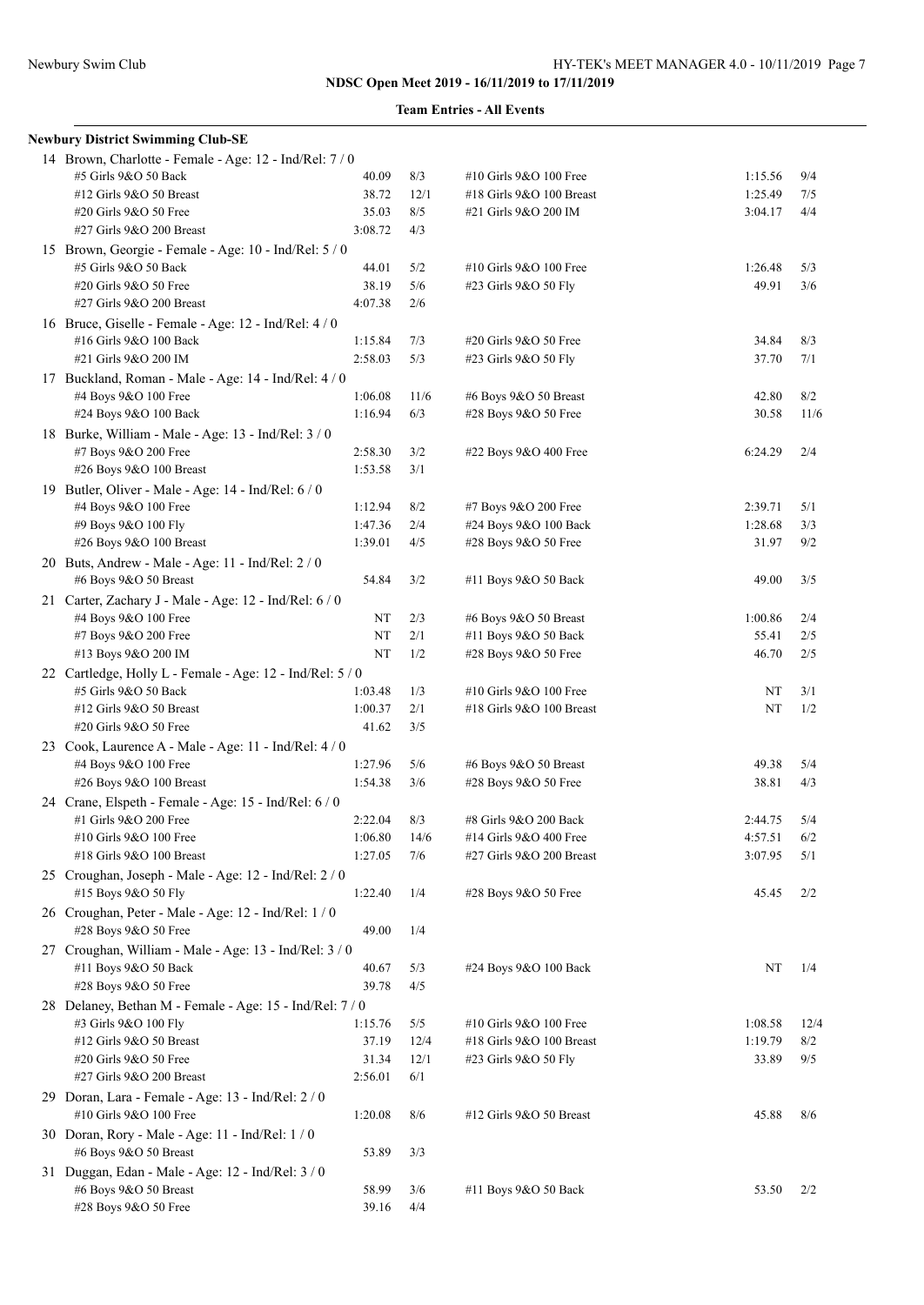| <b>Team Entries - All Events</b> |  |
|----------------------------------|--|
|----------------------------------|--|

| <b>Newbury District Swimming Club-SE</b>                  |         |            |                                               |         |            |
|-----------------------------------------------------------|---------|------------|-----------------------------------------------|---------|------------|
| 14 Brown, Charlotte - Female - Age: 12 - Ind/Rel: 7/0     |         |            |                                               |         |            |
| #5 Girls 9&O 50 Back                                      | 40.09   | 8/3        | #10 Girls 9&O 100 Free                        | 1:15.56 | 9/4        |
| #12 Girls 9&O 50 Breast                                   | 38.72   | 12/1       | #18 Girls 9&O 100 Breast                      | 1:25.49 | 7/5        |
| #20 Girls 9&O 50 Free                                     | 35.03   | 8/5        | #21 Girls 9&O 200 IM                          | 3:04.17 | 4/4        |
| #27 Girls 9&O 200 Breast                                  | 3:08.72 | 4/3        |                                               |         |            |
| 15 Brown, Georgie - Female - Age: 10 - Ind/Rel: 5/0       |         |            |                                               |         |            |
| #5 Girls 9&O 50 Back                                      | 44.01   | 5/2        | #10 Girls 9&O 100 Free                        | 1:26.48 | 5/3        |
| #20 Girls 9&O 50 Free                                     | 38.19   | 5/6        | #23 Girls 9&O 50 Fly                          | 49.91   | 3/6        |
| #27 Girls 9&O 200 Breast                                  | 4:07.38 | 2/6        |                                               |         |            |
| 16 Bruce, Giselle - Female - Age: 12 - Ind/Rel: 4 / 0     |         |            |                                               |         |            |
| #16 Girls 9&O 100 Back                                    | 1:15.84 | 7/3        | #20 Girls 9&O 50 Free                         | 34.84   | 8/3        |
| #21 Girls 9&O 200 IM                                      | 2:58.03 | 5/3        | #23 Girls 9&O 50 Fly                          | 37.70   | 7/1        |
| 17 Buckland, Roman - Male - Age: 14 - Ind/Rel: 4 / 0      |         |            |                                               |         |            |
| #4 Boys 9&O 100 Free                                      | 1:06.08 | 11/6       | #6 Boys 9&O 50 Breast                         | 42.80   | 8/2        |
| #24 Boys 9&O 100 Back                                     | 1:16.94 | 6/3        | #28 Boys 9&O 50 Free                          | 30.58   | 11/6       |
| 18 Burke, William - Male - Age: 13 - Ind/Rel: 3 / 0       |         |            |                                               |         |            |
| #7 Boys 9&O 200 Free                                      | 2:58.30 | 3/2        | #22 Boys 9&O 400 Free                         | 6:24.29 | 2/4        |
| #26 Boys 9&O 100 Breast                                   | 1:53.58 | 3/1        |                                               |         |            |
| 19 Butler, Oliver - Male - Age: 14 - Ind/Rel: 6 / 0       |         |            |                                               |         |            |
| #4 Boys 9&O 100 Free                                      | 1:12.94 | 8/2        | #7 Boys 9&O 200 Free                          | 2:39.71 | 5/1        |
|                                                           | 1:47.36 |            |                                               | 1:28.68 |            |
| #9 Boys 9&O 100 Fly<br>#26 Boys 9&O 100 Breast            | 1:39.01 | 2/4<br>4/5 | #24 Boys 9&O 100 Back<br>#28 Boys 9&O 50 Free | 31.97   | 3/3<br>9/2 |
|                                                           |         |            |                                               |         |            |
| 20 Buts, Andrew - Male - Age: 11 - Ind/Rel: 2 / 0         |         |            |                                               |         |            |
| #6 Boys 9&O 50 Breast                                     | 54.84   | 3/2        | #11 Boys 9&O 50 Back                          | 49.00   | 3/5        |
| 21 Carter, Zachary J - Male - Age: 12 - Ind/Rel: 6 / 0    |         |            |                                               |         |            |
| #4 Boys 9&O 100 Free                                      | ΝT      | 2/3        | #6 Boys $9&O 50$ Breast                       | 1:00.86 | 2/4        |
| #7 Boys 9&O 200 Free                                      | NT      | 2/1        | #11 Boys 9&O 50 Back                          | 55.41   | 2/5        |
| #13 Boys 9&O 200 IM                                       | NT      | 1/2        | #28 Boys 9&O 50 Free                          | 46.70   | 2/5        |
| 22 Cartledge, Holly L - Female - Age: 12 - Ind/Rel: 5 / 0 |         |            |                                               |         |            |
| #5 Girls 9&O 50 Back                                      | 1:03.48 | 1/3        | #10 Girls 9&O 100 Free                        | NT      | 3/1        |
| #12 Girls 9&O 50 Breast                                   | 1:00.37 | 2/1        | #18 Girls $9&O$ 100 Breast                    | NT      | 1/2        |
| #20 Girls 9&O 50 Free                                     | 41.62   | 3/5        |                                               |         |            |
| 23 Cook, Laurence A - Male - Age: 11 - Ind/Rel: 4 / 0     |         |            |                                               |         |            |
| #4 Boys 9&O 100 Free                                      | 1:27.96 | 5/6        | #6 Boys 9&O 50 Breast                         | 49.38   | 5/4        |
| #26 Boys 9&O 100 Breast                                   | 1:54.38 | 3/6        | #28 Boys 9&O 50 Free                          | 38.81   | 4/3        |
| 24 Crane, Elspeth - Female - Age: 15 - Ind/Rel: 6 / 0     |         |            |                                               |         |            |
| #1 Girls 9&O 200 Free                                     | 2:22.04 | 8/3        | #8 Girls 9&O 200 Back                         | 2:44.75 | 5/4        |
| #10 Girls 9&O 100 Free                                    | 1:06.80 | 14/6       | #14 Girls 9&O 400 Free                        | 4:57.51 | 6/2        |
| #18 Girls 9&O 100 Breast                                  | 1:27.05 | 7/6        | #27 Girls 9&O 200 Breast                      | 3:07.95 | 5/1        |
| 25 Croughan, Joseph - Male - Age: 12 - Ind/Rel: 2 / 0     |         |            |                                               |         |            |
| #15 Boys 9&O 50 Fly                                       | 1:22.40 | 1/4        | #28 Boys 9&O 50 Free                          | 45.45   | 2/2        |
| 26 Croughan, Peter - Male - Age: 12 - Ind/Rel: 1 / 0      |         |            |                                               |         |            |
| #28 Boys 9&O 50 Free                                      | 49.00   | 1/4        |                                               |         |            |
| 27 Croughan, William - Male - Age: 13 - Ind/Rel: 3 / 0    |         |            |                                               |         |            |
| #11 Boys 9&O 50 Back                                      | 40.67   | 5/3        | #24 Boys 9&O 100 Back                         | NT      | 1/4        |
| #28 Boys 9&O 50 Free                                      | 39.78   | 4/5        |                                               |         |            |
| 28 Delaney, Bethan M - Female - Age: 15 - Ind/Rel: 7 / 0  |         |            |                                               |         |            |
| #3 Girls 9&O 100 Fly                                      | 1:15.76 | 5/5        | #10 Girls 9&O 100 Free                        | 1:08.58 | 12/4       |
| #12 Girls 9&O 50 Breast                                   | 37.19   | 12/4       | #18 Girls 9&O 100 Breast                      | 1:19.79 | 8/2        |
| #20 Girls 9&O 50 Free                                     | 31.34   | 12/1       | #23 Girls 9&O 50 Fly                          | 33.89   | 9/5        |
| #27 Girls 9&O 200 Breast                                  | 2:56.01 | 6/1        |                                               |         |            |
| 29 Doran, Lara - Female - Age: 13 - Ind/Rel: 2/0          |         |            |                                               |         |            |
| #10 Girls 9&O 100 Free                                    | 1:20.08 | 8/6        | #12 Girls 9&O 50 Breast                       | 45.88   | 8/6        |
| 30 Doran, Rory - Male - Age: 11 - Ind/Rel: 1 / 0          |         |            |                                               |         |            |
| #6 Boys 9&O 50 Breast                                     | 53.89   | 3/3        |                                               |         |            |
| 31 Duggan, Edan - Male - Age: $12$ - Ind/Rel: $3/0$       |         |            |                                               |         |            |
| #6 Boys 9&O 50 Breast                                     | 58.99   | 3/6        | #11 Boys 9&O 50 Back                          | 53.50   | 2/2        |
| #28 Boys 9&O 50 Free                                      | 39.16   | 4/4        |                                               |         |            |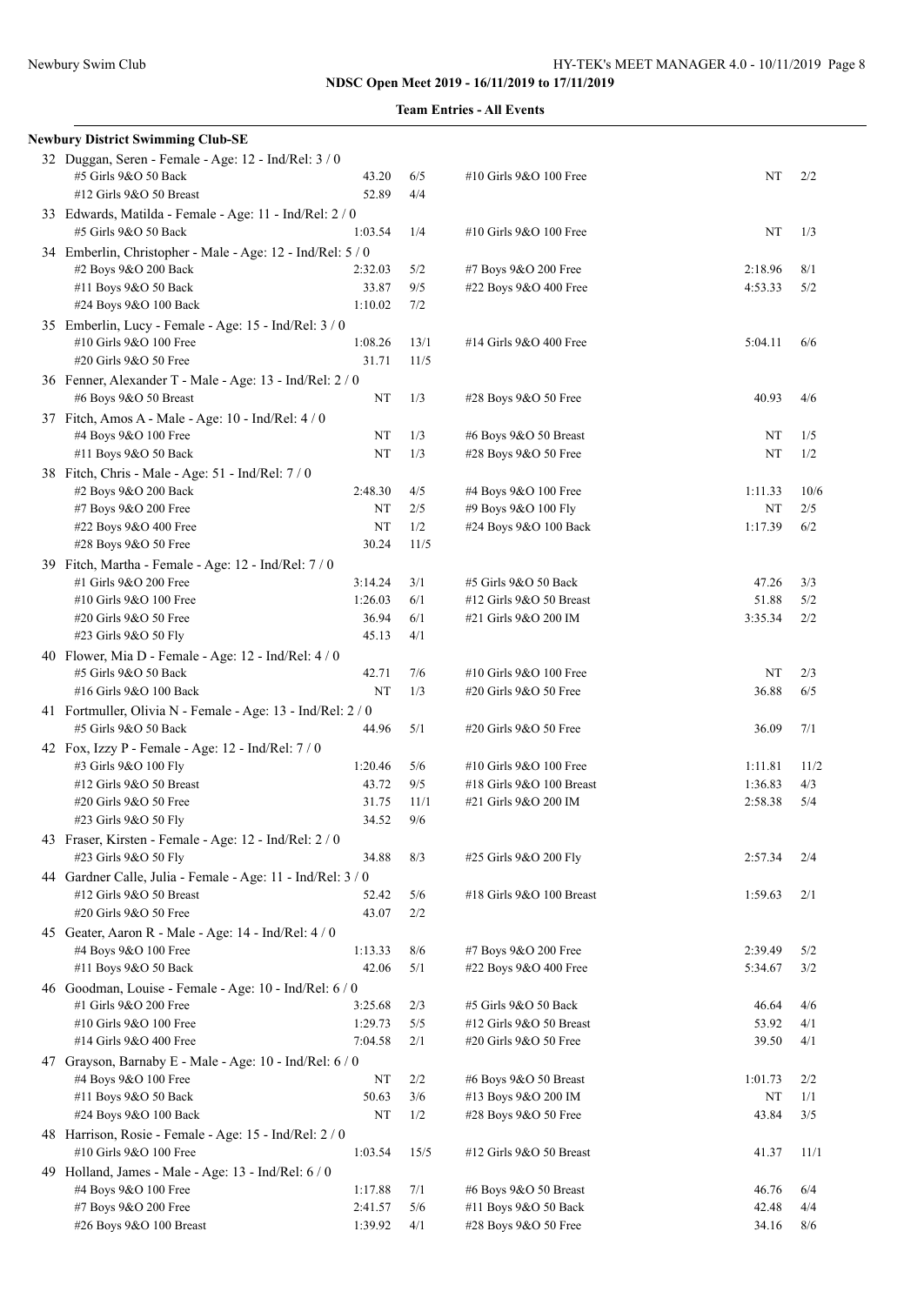| Newbury District Swimming Club-SE                                               |         |      |                          |         |      |
|---------------------------------------------------------------------------------|---------|------|--------------------------|---------|------|
| 32 Duggan, Seren - Female - Age: 12 - Ind/Rel: 3 / 0<br>#5 Girls 9&O 50 Back    | 43.20   | 6/5  | #10 Girls 9&O 100 Free   | NT      | 2/2  |
| #12 Girls 9&O 50 Breast                                                         | 52.89   | 4/4  |                          |         |      |
|                                                                                 |         |      |                          |         |      |
| 33 Edwards, Matilda - Female - Age: 11 - Ind/Rel: 2 / 0<br>#5 Girls 9&O 50 Back | 1:03.54 | 1/4  | #10 Girls 9&O 100 Free   | NT      | 1/3  |
| 34 Emberlin, Christopher - Male - Age: 12 - Ind/Rel: 5 / 0                      |         |      |                          |         |      |
| #2 Boys 9&O 200 Back                                                            | 2:32.03 | 5/2  | #7 Boys 9&O 200 Free     | 2:18.96 | 8/1  |
| #11 Boys 9&O 50 Back                                                            | 33.87   | 9/5  | #22 Boys 9&O 400 Free    | 4:53.33 | 5/2  |
| #24 Boys 9&O 100 Back                                                           | 1:10.02 | 7/2  |                          |         |      |
| 35 Emberlin, Lucy - Female - Age: 15 - Ind/Rel: 3 / 0                           |         |      |                          |         |      |
| #10 Girls 9&O 100 Free                                                          | 1:08.26 | 13/1 | #14 Girls 9&O 400 Free   | 5:04.11 | 6/6  |
| #20 Girls 9&O 50 Free                                                           | 31.71   | 11/5 |                          |         |      |
| 36 Fenner, Alexander T - Male - Age: 13 - Ind/Rel: 2 / 0                        |         |      |                          |         |      |
| #6 Boys 9&O 50 Breast                                                           | NT      | 1/3  | #28 Boys 9&O 50 Free     | 40.93   | 4/6  |
| 37 Fitch, Amos A - Male - Age: 10 - Ind/Rel: 4 / 0                              |         |      |                          |         |      |
| #4 Boys 9&O 100 Free                                                            | NT      | 1/3  | #6 Boys 9&O 50 Breast    | NT      | 1/5  |
| #11 Boys 9&O 50 Back                                                            | NT      | 1/3  | #28 Boys 9&O 50 Free     | NT      | 1/2  |
|                                                                                 |         |      |                          |         |      |
| 38 Fitch, Chris - Male - Age: 51 - Ind/Rel: 7 / 0                               |         |      |                          |         |      |
| #2 Boys 9&O 200 Back                                                            | 2:48.30 | 4/5  | #4 Boys 9&O 100 Free     | 1:11.33 | 10/6 |
| #7 Boys 9&O 200 Free                                                            | NT      | 2/5  | #9 Boys 9&O 100 Fly      | NT      | 2/5  |
| #22 Boys 9&O 400 Free                                                           | NT      | 1/2  | #24 Boys 9&O 100 Back    | 1:17.39 | 6/2  |
| #28 Boys 9&O 50 Free                                                            | 30.24   | 11/5 |                          |         |      |
| 39 Fitch, Martha - Female - Age: 12 - Ind/Rel: 7 / 0                            |         |      |                          |         |      |
| #1 Girls 9&O 200 Free                                                           | 3:14.24 | 3/1  | #5 Girls 9&O 50 Back     | 47.26   | 3/3  |
| #10 Girls 9&O 100 Free                                                          | 1:26.03 | 6/1  | #12 Girls 9&O 50 Breast  | 51.88   | 5/2  |
| #20 Girls 9&O 50 Free                                                           | 36.94   | 6/1  | #21 Girls 9&O 200 IM     | 3:35.34 | 2/2  |
| #23 Girls 9&O 50 Fly                                                            | 45.13   | 4/1  |                          |         |      |
| 40 Flower, Mia D - Female - Age: $12$ - Ind/Rel: $4/0$                          |         |      |                          |         |      |
| #5 Girls 9&O 50 Back                                                            | 42.71   | 7/6  | #10 Girls 9&O 100 Free   | NT      | 2/3  |
| #16 Girls 9&O 100 Back                                                          | NT      | 1/3  | #20 Girls 9&O 50 Free    | 36.88   | 6/5  |
| 41 Fortmuller, Olivia N - Female - Age: 13 - Ind/Rel: 2 / 0                     |         |      |                          |         |      |
| #5 Girls 9&O 50 Back                                                            | 44.96   | 5/1  | #20 Girls 9&O 50 Free    | 36.09   | 7/1  |
| 42 Fox, Izzy P - Female - Age: $12$ - Ind/Rel: $7/0$                            |         |      |                          |         |      |
| #3 Girls 9&O 100 Fly                                                            | 1:20.46 | 5/6  | #10 Girls 9&O 100 Free   | 1:11.81 | 11/2 |
| #12 Girls 9&O 50 Breast                                                         | 43.72   | 9/5  | #18 Girls 9&O 100 Breast | 1:36.83 | 4/3  |
| #20 Girls 9&O 50 Free                                                           | 31.75   | 11/1 | #21 Girls 9&O 200 IM     | 2:58.38 | 5/4  |
| #23 Girls 9&O 50 Fly                                                            | 34.52   | 9/6  |                          |         |      |
| 43 Fraser, Kirsten - Female - Age: 12 - Ind/Rel: 2 / 0                          |         |      |                          |         |      |
| #23 Girls 9&O 50 Fly                                                            | 34.88   | 8/3  | #25 Girls 9&O 200 Fly    | 2:57.34 | 2/4  |
| 44 Gardner Calle, Julia - Female - Age: 11 - Ind/Rel: 3 / 0                     |         |      |                          |         |      |
| #12 Girls 9&O 50 Breast                                                         | 52.42   | 5/6  | #18 Girls 9&O 100 Breast | 1:59.63 | 2/1  |
| #20 Girls 9&O 50 Free                                                           | 43.07   | 2/2  |                          |         |      |
| 45 Geater, Aaron R - Male - Age: 14 - Ind/Rel: 4 / 0                            |         |      |                          |         |      |
| #4 Boys 9&O 100 Free                                                            | 1:13.33 | 8/6  | #7 Boys 9&O 200 Free     | 2:39.49 | 5/2  |
| #11 Boys 9&O 50 Back                                                            | 42.06   | 5/1  | #22 Boys 9&O 400 Free    | 5:34.67 | 3/2  |
| 46 Goodman, Louise - Female - Age: 10 - Ind/Rel: 6/0                            |         |      |                          |         |      |
| #1 Girls 9&O 200 Free                                                           | 3:25.68 | 2/3  | #5 Girls 9&O 50 Back     | 46.64   | 4/6  |
| #10 Girls 9&O 100 Free                                                          | 1:29.73 | 5/5  | #12 Girls 9&O 50 Breast  | 53.92   | 4/1  |
| #14 Girls 9&O 400 Free                                                          | 7:04.58 | 2/1  | #20 Girls 9&O 50 Free    | 39.50   | 4/1  |
| 47 Grayson, Barnaby E - Male - Age: 10 - Ind/Rel: 6 / 0                         |         |      |                          |         |      |
| #4 Boys 9&O 100 Free                                                            | NT      | 2/2  | #6 Boys 9&O 50 Breast    | 1:01.73 | 2/2  |
| #11 Boys 9&O 50 Back                                                            | 50.63   | 3/6  | #13 Boys 9&O 200 IM      | NT      | 1/1  |
| #24 Boys 9&O 100 Back                                                           | NT      | 1/2  | #28 Boys 9&O 50 Free     | 43.84   | 3/5  |
|                                                                                 |         |      |                          |         |      |
| 48 Harrison, Rosie - Female - Age: 15 - Ind/Rel: 2 / 0                          |         |      |                          |         |      |
| #10 Girls 9&O 100 Free                                                          | 1:03.54 | 15/5 | #12 Girls 9&O 50 Breast  | 41.37   | 11/1 |
| 49 Holland, James - Male - Age: 13 - Ind/Rel: 6 / 0                             |         |      |                          |         |      |
| #4 Boys 9&O 100 Free                                                            | 1:17.88 | 7/1  | #6 Boys 9&O 50 Breast    | 46.76   | 6/4  |
| #7 Boys 9&O 200 Free                                                            | 2:41.57 | 5/6  | #11 Boys 9&O 50 Back     | 42.48   | 4/4  |
| #26 Boys 9&O 100 Breast                                                         | 1:39.92 | 4/1  | #28 Boys 9&O 50 Free     | 34.16   | 8/6  |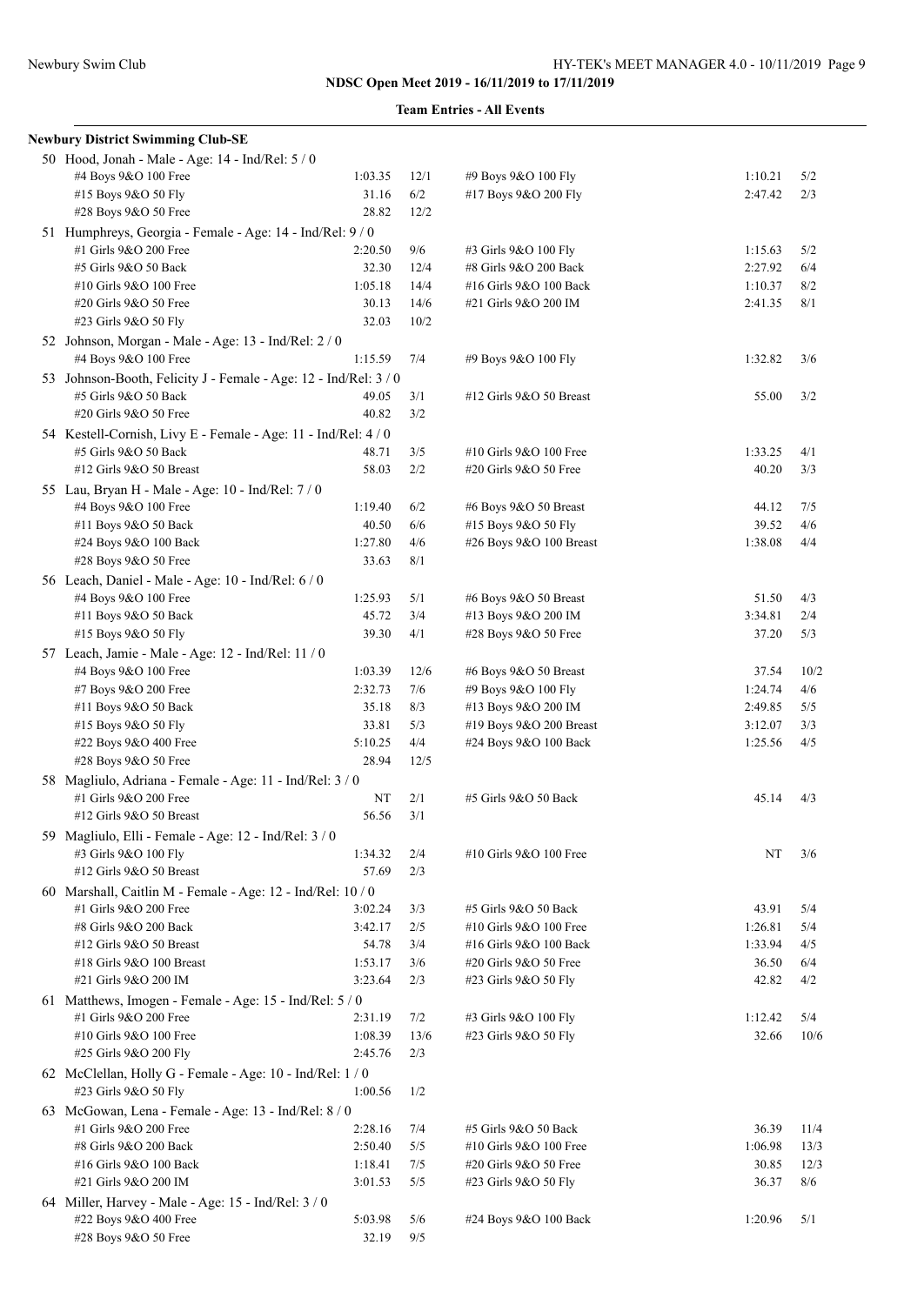| <b>Newbury District Swimming Club-SE</b>                         |         |      |                         |         |      |
|------------------------------------------------------------------|---------|------|-------------------------|---------|------|
| 50 Hood, Jonah - Male - Age: 14 - Ind/Rel: 5 / 0                 |         |      |                         |         |      |
| #4 Boys 9&O 100 Free                                             | 1:03.35 | 12/1 | #9 Boys 9&O 100 Fly     | 1:10.21 | 5/2  |
| #15 Boys 9&O 50 Fly                                              | 31.16   | 6/2  | #17 Boys 9&O 200 Fly    | 2:47.42 | 2/3  |
| #28 Boys 9&O 50 Free                                             | 28.82   | 12/2 |                         |         |      |
| 51 Humphreys, Georgia - Female - Age: 14 - Ind/Rel: 9 / 0        |         |      |                         |         |      |
| #1 Girls 9&O 200 Free                                            | 2:20.50 | 9/6  | #3 Girls 9&O 100 Fly    | 1:15.63 | 5/2  |
| #5 Girls 9&O 50 Back                                             | 32.30   | 12/4 | #8 Girls 9&O 200 Back   | 2:27.92 | 6/4  |
| #10 Girls 9&O 100 Free                                           | 1:05.18 | 14/4 | #16 Girls 9&O 100 Back  | 1:10.37 | 8/2  |
|                                                                  | 30.13   | 14/6 |                         | 2:41.35 | 8/1  |
| #20 Girls 9&O 50 Free                                            | 32.03   | 10/2 | #21 Girls 9&O 200 IM    |         |      |
| #23 Girls 9&O 50 Fly                                             |         |      |                         |         |      |
| 52 Johnson, Morgan - Male - Age: 13 - Ind/Rel: 2/0               |         |      |                         |         |      |
| #4 Boys 9&O 100 Free                                             | 1:15.59 | 7/4  | #9 Boys 9&O 100 Fly     | 1:32.82 | 3/6  |
| 53 Johnson-Booth, Felicity J - Female - Age: 12 - Ind/Rel: 3 / 0 |         |      |                         |         |      |
| #5 Girls 9&O 50 Back                                             | 49.05   | 3/1  | #12 Girls 9&O 50 Breast | 55.00   | 3/2  |
| #20 Girls 9&O 50 Free                                            | 40.82   | 3/2  |                         |         |      |
| 54 Kestell-Cornish, Livy E - Female - Age: 11 - Ind/Rel: 4 / 0   |         |      |                         |         |      |
| #5 Girls 9&O 50 Back                                             | 48.71   | 3/5  | #10 Girls 9&O 100 Free  | 1:33.25 | 4/1  |
| #12 Girls 9&O 50 Breast                                          | 58.03   | 2/2  | #20 Girls 9&O 50 Free   | 40.20   | 3/3  |
| 55 Lau, Bryan H - Male - Age: 10 - Ind/Rel: 7 / 0                |         |      |                         |         |      |
| #4 Boys 9&O 100 Free                                             | 1:19.40 | 6/2  | #6 Boys 9&O 50 Breast   | 44.12   | 7/5  |
| #11 Boys 9&O 50 Back                                             | 40.50   | 6/6  | #15 Boys 9&O 50 Fly     | 39.52   | 4/6  |
| #24 Boys 9&O 100 Back                                            | 1:27.80 | 4/6  | #26 Boys 9&O 100 Breast | 1:38.08 | 4/4  |
| #28 Boys 9&O 50 Free                                             | 33.63   | 8/1  |                         |         |      |
| 56 Leach, Daniel - Male - Age: 10 - Ind/Rel: 6 / 0               |         |      |                         |         |      |
| #4 Boys 9&O 100 Free                                             | 1:25.93 | 5/1  | #6 Boys 9&O 50 Breast   | 51.50   | 4/3  |
| #11 Boys 9&O 50 Back                                             | 45.72   | 3/4  | #13 Boys 9&O 200 IM     | 3:34.81 | 2/4  |
| #15 Boys 9&O 50 Fly                                              | 39.30   | 4/1  | #28 Boys 9&O 50 Free    | 37.20   | 5/3  |
|                                                                  |         |      |                         |         |      |
| 57 Leach, Jamie - Male - Age: 12 - Ind/Rel: 11 / 0               |         |      |                         |         |      |
| #4 Boys 9&O 100 Free                                             | 1:03.39 | 12/6 | #6 Boys 9&O 50 Breast   | 37.54   | 10/2 |
| #7 Boys 9&O 200 Free                                             | 2:32.73 | 7/6  | #9 Boys 9&O 100 Fly     | 1:24.74 | 4/6  |
| #11 Boys 9&O 50 Back                                             | 35.18   | 8/3  | #13 Boys 9&O 200 IM     | 2:49.85 | 5/5  |
| #15 Boys 9&O 50 Fly                                              | 33.81   | 5/3  | #19 Boys 9&O 200 Breast | 3:12.07 | 3/3  |
| #22 Boys 9&O 400 Free                                            | 5:10.25 | 4/4  | #24 Boys 9&O 100 Back   | 1:25.56 | 4/5  |
| #28 Boys 9&O 50 Free                                             | 28.94   | 12/5 |                         |         |      |
| 58 Magliulo, Adriana - Female - Age: 11 - Ind/Rel: 3 / 0         |         |      |                         |         |      |
| #1 Girls 9&O 200 Free                                            | NT      | 2/1  | #5 Girls 9&O 50 Back    | 45.14   | 4/3  |
| #12 Girls 9&O 50 Breast                                          | 56.56   | 3/1  |                         |         |      |
| 59 Magliulo, Elli - Female - Age: 12 - Ind/Rel: 3 / 0            |         |      |                         |         |      |
| #3 Girls 9&O 100 Fly                                             | 1:34.32 | 2/4  | #10 Girls 9&O 100 Free  | NT      | 3/6  |
| #12 Girls 9&O 50 Breast                                          | 57.69   | 2/3  |                         |         |      |
| 60 Marshall, Caitlin M - Female - Age: 12 - Ind/Rel: 10 / 0      |         |      |                         |         |      |
| #1 Girls 9&O 200 Free                                            | 3:02.24 | 3/3  | #5 Girls 9&O 50 Back    | 43.91   | 5/4  |
| #8 Girls 9&O 200 Back                                            | 3:42.17 | 2/5  | #10 Girls 9&O 100 Free  | 1:26.81 | 5/4  |
| #12 Girls 9&O 50 Breast                                          | 54.78   | 3/4  | #16 Girls 9&O 100 Back  | 1:33.94 | 4/5  |
| #18 Girls 9&O 100 Breast                                         | 1:53.17 | 3/6  | #20 Girls 9&O 50 Free   | 36.50   | 6/4  |
| #21 Girls 9&O 200 IM                                             | 3:23.64 | 2/3  | #23 Girls 9&O 50 Fly    | 42.82   | 4/2  |
| 61 Matthews, Imogen - Female - Age: $15$ - Ind/Rel: $5/0$        |         |      |                         |         |      |
| #1 Girls 9&O 200 Free                                            | 2:31.19 | 7/2  | #3 Girls 9&O 100 Fly    | 1:12.42 | 5/4  |
| #10 Girls 9&O 100 Free                                           | 1:08.39 | 13/6 | #23 Girls 9&O 50 Fly    | 32.66   | 10/6 |
| #25 Girls 9&O 200 Fly                                            | 2:45.76 | 2/3  |                         |         |      |
| 62 McClellan, Holly G - Female - Age: 10 - Ind/Rel: 1/0          |         |      |                         |         |      |
|                                                                  |         |      |                         |         |      |
| #23 Girls 9&O 50 Fly                                             | 1:00.56 | 1/2  |                         |         |      |
| 63 McGowan, Lena - Female - Age: 13 - Ind/Rel: 8 / 0             |         |      |                         |         |      |
| #1 Girls 9&O 200 Free                                            | 2:28.16 | 7/4  | #5 Girls 9&O 50 Back    | 36.39   | 11/4 |
| #8 Girls 9&O 200 Back                                            | 2:50.40 | 5/5  | #10 Girls 9&O 100 Free  | 1:06.98 | 13/3 |
| #16 Girls 9&O 100 Back                                           | 1:18.41 | 7/5  | #20 Girls 9&O 50 Free   | 30.85   | 12/3 |
| #21 Girls 9&O 200 IM                                             | 3:01.53 | 5/5  | #23 Girls 9&O 50 Fly    | 36.37   | 8/6  |
| 64 Miller, Harvey - Male - Age: 15 - Ind/Rel: 3 / 0              |         |      |                         |         |      |
| #22 Boys 9&O 400 Free                                            | 5:03.98 | 5/6  | #24 Boys 9&O 100 Back   | 1:20.96 | 5/1  |
| #28 Boys 9&O 50 Free                                             | 32.19   | 9/5  |                         |         |      |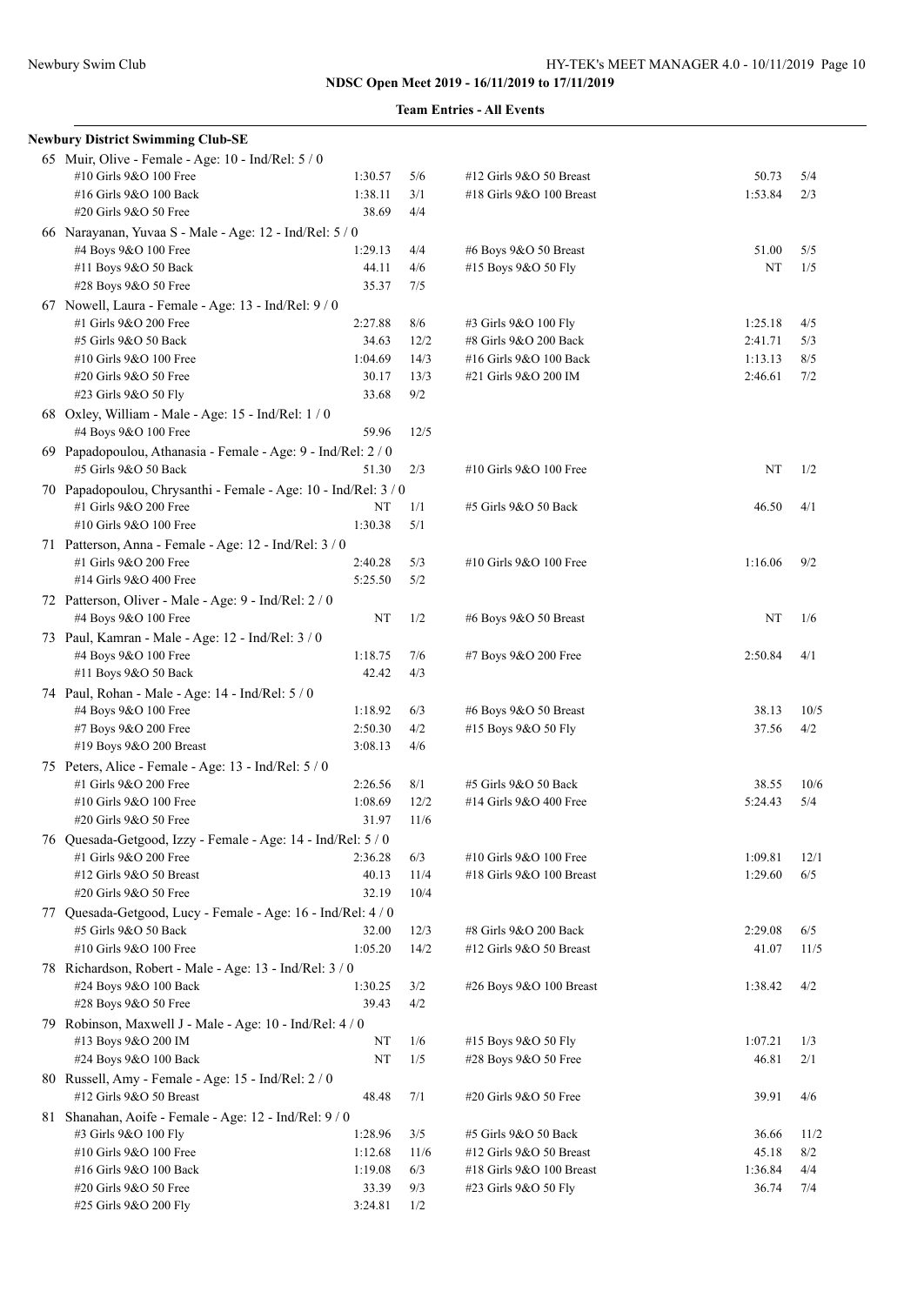|  | <b>Team Entries - All Events</b> |  |  |
|--|----------------------------------|--|--|
|--|----------------------------------|--|--|

| <b>Newbury District Swimming Club-SE</b>                        |         |      |                          |         |      |
|-----------------------------------------------------------------|---------|------|--------------------------|---------|------|
| 65 Muir, Olive - Female - Age: 10 - Ind/Rel: $5/0$              |         |      |                          |         |      |
| #10 Girls 9&O 100 Free                                          | 1:30.57 | 5/6  | #12 Girls 9&O 50 Breast  | 50.73   | 5/4  |
| #16 Girls 9&O 100 Back                                          | 1:38.11 | 3/1  | #18 Girls 9&O 100 Breast | 1:53.84 | 2/3  |
| #20 Girls 9&O 50 Free                                           | 38.69   | 4/4  |                          |         |      |
| 66 Narayanan, Yuvaa S - Male - Age: 12 - Ind/Rel: 5 / 0         |         |      |                          |         |      |
| #4 Boys 9&O 100 Free                                            | 1:29.13 | 4/4  | #6 Boys 9&O 50 Breast    | 51.00   | 5/5  |
| #11 Boys 9&O 50 Back                                            | 44.11   | 4/6  | #15 Boys 9&O 50 Fly      | NT      | 1/5  |
| #28 Boys 9&O 50 Free                                            | 35.37   | 7/5  |                          |         |      |
| 67 Nowell, Laura - Female - Age: 13 - Ind/Rel: 9 / 0            |         |      |                          |         |      |
| #1 Girls 9&O 200 Free                                           | 2:27.88 | 8/6  | #3 Girls 9&O 100 Fly     | 1:25.18 | 4/5  |
| #5 Girls 9&O 50 Back                                            | 34.63   | 12/2 | #8 Girls 9&O 200 Back    | 2:41.71 | 5/3  |
| #10 Girls 9&O 100 Free                                          | 1:04.69 | 14/3 | #16 Girls 9&O 100 Back   | 1:13.13 | 8/5  |
| #20 Girls 9&O 50 Free                                           | 30.17   | 13/3 | #21 Girls 9&O 200 IM     | 2:46.61 | 7/2  |
| #23 Girls 9&O 50 Fly                                            | 33.68   | 9/2  |                          |         |      |
| 68 Oxley, William - Male - Age: 15 - Ind/Rel: 1 / 0             |         |      |                          |         |      |
| #4 Boys 9&O 100 Free                                            | 59.96   | 12/5 |                          |         |      |
| 69 Papadopoulou, Athanasia - Female - Age: 9 - Ind/Rel: 2 / 0   |         |      |                          |         |      |
| #5 Girls 9&O 50 Back                                            | 51.30   | 2/3  | #10 Girls 9&O 100 Free   | NT      | 1/2  |
| 70 Papadopoulou, Chrysanthi - Female - Age: 10 - Ind/Rel: 3 / 0 |         |      |                          |         |      |
| #1 Girls 9&O 200 Free                                           |         | 1/1  |                          | 46.50   |      |
|                                                                 | NT      |      | #5 Girls 9&O 50 Back     |         | 4/1  |
| #10 Girls 9&O 100 Free                                          | 1:30.38 | 5/1  |                          |         |      |
| 71 Patterson, Anna - Female - Age: 12 - Ind/Rel: 3 / 0          |         |      |                          |         |      |
| #1 Girls 9&O 200 Free                                           | 2:40.28 | 5/3  | #10 Girls 9&O 100 Free   | 1:16.06 | 9/2  |
| #14 Girls 9&O 400 Free                                          | 5:25.50 | 5/2  |                          |         |      |
| 72 Patterson, Oliver - Male - Age: 9 - Ind/Rel: 2 / 0           |         |      |                          |         |      |
| #4 Boys 9&O 100 Free                                            | NT      | 1/2  | #6 Boys 9&O 50 Breast    | NT      | 1/6  |
| 73 Paul, Kamran - Male - Age: 12 - Ind/Rel: 3 / 0               |         |      |                          |         |      |
| #4 Boys 9&O 100 Free                                            | 1:18.75 | 7/6  | #7 Boys 9&O 200 Free     | 2:50.84 | 4/1  |
| #11 Boys 9&O 50 Back                                            | 42.42   | 4/3  |                          |         |      |
| 74 Paul, Rohan - Male - Age: 14 - Ind/Rel: 5 / 0                |         |      |                          |         |      |
| #4 Boys 9&O 100 Free                                            | 1:18.92 | 6/3  | #6 Boys 9&O 50 Breast    | 38.13   | 10/5 |
| #7 Boys 9&O 200 Free                                            | 2:50.30 | 4/2  | #15 Boys 9&O 50 Fly      | 37.56   | 4/2  |
| #19 Boys 9&O 200 Breast                                         | 3:08.13 | 4/6  |                          |         |      |
| 75 Peters, Alice - Female - Age: 13 - Ind/Rel: 5 / 0            |         |      |                          |         |      |
| #1 Girls 9&O 200 Free                                           | 2:26.56 | 8/1  | #5 Girls 9&O 50 Back     | 38.55   | 10/6 |
| #10 Girls 9&O 100 Free                                          | 1:08.69 | 12/2 | #14 Girls 9&O 400 Free   | 5:24.43 | 5/4  |
| #20 Girls 9&O 50 Free                                           | 31.97   | 11/6 |                          |         |      |
| 76 Quesada-Getgood, Izzy - Female - Age: 14 - Ind/Rel: 5 / 0    |         |      |                          |         |      |
| #1 Girls 9&O 200 Free                                           | 2:36.28 | 6/3  | #10 Girls 9&O 100 Free   | 1:09.81 | 12/1 |
| #12 Girls 9&O 50 Breast                                         | 40.13   | 11/4 | #18 Girls 9&O 100 Breast | 1:29.60 | 6/5  |
| #20 Girls 9&O 50 Free                                           | 32.19   | 10/4 |                          |         |      |
| 77 Quesada-Getgood, Lucy - Female - Age: 16 - Ind/Rel: 4 / 0    |         |      |                          |         |      |
| #5 Girls 9&O 50 Back                                            | 32.00   | 12/3 | #8 Girls 9&O 200 Back    | 2:29.08 | 6/5  |
| #10 Girls 9&O 100 Free                                          | 1:05.20 | 14/2 | #12 Girls 9&O 50 Breast  | 41.07   | 11/5 |
| 78 Richardson, Robert - Male - Age: 13 - Ind/Rel: 3 / 0         |         |      |                          |         |      |
| #24 Boys 9&O 100 Back                                           | 1:30.25 | 3/2  | #26 Boys 9&O 100 Breast  | 1:38.42 | 4/2  |
| #28 Boys 9&O 50 Free                                            | 39.43   | 4/2  |                          |         |      |
|                                                                 |         |      |                          |         |      |
| 79 Robinson, Maxwell J - Male - Age: 10 - Ind/Rel: 4 / 0        |         | 1/6  |                          | 1:07.21 | 1/3  |
| #13 Boys 9&O 200 IM                                             | NT      |      | #15 Boys 9&O 50 Fly      |         |      |
| #24 Boys 9&O 100 Back                                           | NT      | 1/5  | #28 Boys 9&O 50 Free     | 46.81   | 2/1  |
| 80 Russell, Amy - Female - Age: 15 - Ind/Rel: 2 / 0             |         |      |                          |         |      |
| #12 Girls 9&O 50 Breast                                         | 48.48   | 7/1  | #20 Girls 9&O 50 Free    | 39.91   | 4/6  |
| 81 Shanahan, Aoife - Female - Age: 12 - Ind/Rel: 9 / 0          |         |      |                          |         |      |
| #3 Girls 9&O 100 Fly                                            | 1:28.96 | 3/5  | #5 Girls 9&O 50 Back     | 36.66   | 11/2 |
| #10 Girls 9&O 100 Free                                          | 1:12.68 | 11/6 | #12 Girls 9&O 50 Breast  | 45.18   | 8/2  |
| #16 Girls 9&O 100 Back                                          | 1:19.08 | 6/3  | #18 Girls 9&O 100 Breast | 1:36.84 | 4/4  |
| #20 Girls 9&O 50 Free                                           | 33.39   | 9/3  | #23 Girls 9&O 50 Fly     | 36.74   | 7/4  |
| #25 Girls 9&O 200 Fly                                           | 3:24.81 | 1/2  |                          |         |      |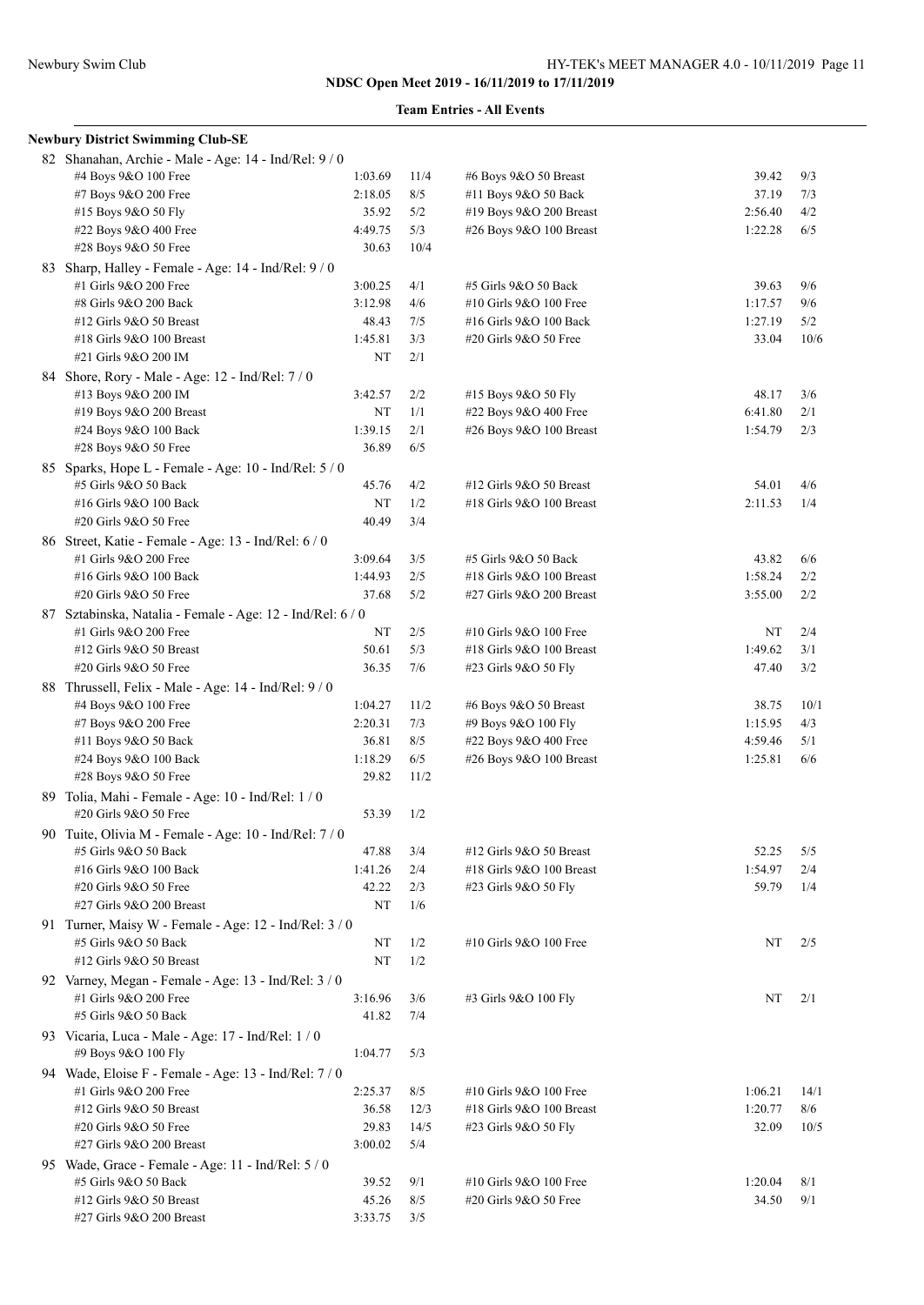<u> 1980 - Johann Barbara, martxa amerikan per</u>

|  | <b>Team Entries - All Events</b> |  |  |
|--|----------------------------------|--|--|
|--|----------------------------------|--|--|

|    | <b>Newbury District Swimming Club-SE</b>                   |                  |      |                          |         |      |
|----|------------------------------------------------------------|------------------|------|--------------------------|---------|------|
|    | 82 Shanahan, Archie - Male - Age: 14 - Ind/Rel: 9 / 0      |                  |      |                          |         |      |
|    | #4 Boys 9&O 100 Free                                       | 1:03.69          | 11/4 | #6 Boys 9&O 50 Breast    | 39.42   | 9/3  |
|    | #7 Boys 9&O 200 Free                                       | 2:18.05          | 8/5  | #11 Boys 9&O 50 Back     | 37.19   | 7/3  |
|    | #15 Boys 9&O 50 Fly                                        | 35.92            | 5/2  | #19 Boys 9&O 200 Breast  | 2:56.40 | 4/2  |
|    | #22 Boys 9&O 400 Free                                      | 4:49.75          | 5/3  | #26 Boys 9&O 100 Breast  | 1:22.28 | 6/5  |
|    | #28 Boys 9&O 50 Free                                       | 30.63            | 10/4 |                          |         |      |
|    | 83 Sharp, Halley - Female - Age: 14 - Ind/Rel: 9 / 0       |                  |      |                          |         |      |
|    | #1 Girls 9&O 200 Free                                      | 3:00.25          | 4/1  | #5 Girls 9&O 50 Back     | 39.63   | 9/6  |
|    | #8 Girls 9&O 200 Back                                      | 3:12.98          | 4/6  | #10 Girls 9&O 100 Free   | 1:17.57 | 9/6  |
|    | #12 Girls 9&O 50 Breast                                    | 48.43            | 7/5  | #16 Girls 9&O 100 Back   | 1:27.19 | 5/2  |
|    | #18 Girls 9&O 100 Breast                                   | 1:45.81          | 3/3  | #20 Girls 9&O 50 Free    | 33.04   | 10/6 |
|    | #21 Girls 9&O 200 IM                                       | NT               | 2/1  |                          |         |      |
|    | 84 Shore, Rory - Male - Age: 12 - Ind/Rel: 7 / 0           |                  |      |                          |         |      |
|    | #13 Boys 9&O 200 IM                                        | 3:42.57          | 2/2  | #15 Boys 9&O 50 Fly      | 48.17   | 3/6  |
|    | #19 Boys 9&O 200 Breast                                    | NT               | 1/1  | #22 Boys 9&O 400 Free    | 6:41.80 | 2/1  |
|    | #24 Boys 9&O 100 Back                                      | 1:39.15          | 2/1  | #26 Boys 9&O 100 Breast  | 1:54.79 | 2/3  |
|    | #28 Boys 9&O 50 Free                                       | 36.89            | 6/5  |                          |         |      |
|    | 85 Sparks, Hope L - Female - Age: 10 - Ind/Rel: 5 / 0      |                  |      |                          |         |      |
|    | #5 Girls 9&O 50 Back                                       | 45.76            | 4/2  | #12 Girls 9&O 50 Breast  | 54.01   | 4/6  |
|    | #16 Girls 9&O 100 Back                                     | NT               | 1/2  | #18 Girls 9&O 100 Breast | 2:11.53 | 1/4  |
|    | #20 Girls 9&O 50 Free                                      | 40.49            | 3/4  |                          |         |      |
|    |                                                            |                  |      |                          |         |      |
|    | 86 Street, Katie - Female - Age: 13 - Ind/Rel: 6 / 0       | 3:09.64          |      |                          | 43.82   |      |
|    | #1 Girls 9&O 200 Free<br>#16 Girls 9&O 100 Back            | 1:44.93          | 3/5  | #5 Girls 9&O 50 Back     |         | 6/6  |
|    |                                                            |                  | 2/5  | #18 Girls 9&O 100 Breast | 1:58.24 | 2/2  |
|    | #20 Girls 9&O 50 Free                                      | 37.68            | 5/2  | #27 Girls 9&O 200 Breast | 3:55.00 | 2/2  |
|    | 87 Sztabinska, Natalia - Female - Age: 12 - Ind/Rel: 6 / 0 |                  |      |                          |         |      |
|    | #1 Girls 9&O 200 Free                                      | NT               | 2/5  | #10 Girls 9&O 100 Free   | NT      | 2/4  |
|    | #12 Girls 9&O 50 Breast                                    | 50.61            | 5/3  | #18 Girls 9&O 100 Breast | 1:49.62 | 3/1  |
|    | #20 Girls 9&O 50 Free                                      | 36.35            | 7/6  | #23 Girls 9&O 50 Fly     | 47.40   | 3/2  |
|    | 88 Thrussell, Felix - Male - Age: 14 - Ind/Rel: 9 / 0      |                  |      |                          |         |      |
|    | #4 Boys 9&O 100 Free                                       | 1:04.27          | 11/2 | #6 Boys 9&O 50 Breast    | 38.75   | 10/1 |
|    | #7 Boys 9&O 200 Free                                       | 2:20.31          | 7/3  | #9 Boys 9&O 100 Fly      | 1:15.95 | 4/3  |
|    | #11 Boys 9&O 50 Back                                       | 36.81            | 8/5  | #22 Boys 9&O 400 Free    | 4:59.46 | 5/1  |
|    | #24 Boys 9&O 100 Back                                      | 1:18.29          | 6/5  | #26 Boys 9&O 100 Breast  | 1:25.81 | 6/6  |
|    | #28 Boys 9&O 50 Free                                       | 29.82            | 11/2 |                          |         |      |
|    | 89 Tolia, Mahi - Female - Age: 10 - Ind/Rel: 1 / 0         |                  |      |                          |         |      |
|    | #20 Girls 9&O 50 Free                                      | 53.39            | 1/2  |                          |         |      |
| 90 | Tuite, Olivia M - Female - Age: 10 - Ind/Rel: 7 / 0        |                  |      |                          |         |      |
|    | #5 Girls 9&O 50 Back                                       | 47.88            | 3/4  | #12 Girls 9&O 50 Breast  | 52.25   | 5/5  |
|    | #16 Girls 9&O 100 Back                                     | 1:41.26          | 2/4  | #18 Girls 9&O 100 Breast | 1:54.97 | 2/4  |
|    | #20 Girls 9&O 50 Free                                      | 42.22            | 2/3  | #23 Girls 9&O 50 Fly     | 59.79   | 1/4  |
|    | #27 Girls 9&O 200 Breast                                   | NT               | 1/6  |                          |         |      |
|    | 91 Turner, Maisy W - Female - Age: 12 - Ind/Rel: 3 / 0     |                  |      |                          |         |      |
|    | #5 Girls 9&O 50 Back                                       | NT               | 1/2  | #10 Girls 9&O 100 Free   | NT      | 2/5  |
|    | #12 Girls 9&O 50 Breast                                    | NT               | 1/2  |                          |         |      |
|    | 92 Varney, Megan - Female - Age: 13 - Ind/Rel: 3 / 0       |                  |      |                          |         |      |
|    | #1 Girls 9&O 200 Free                                      | 3:16.96          | 3/6  | #3 Girls 9&O 100 Fly     | NT      | 2/1  |
|    | #5 Girls 9&O 50 Back                                       | 41.82            | 7/4  |                          |         |      |
|    | 93 Vicaria, Luca - Male - Age: 17 - Ind/Rel: $1/0$         |                  |      |                          |         |      |
|    | #9 Boys 9&O 100 Fly                                        | 1:04.77          | 5/3  |                          |         |      |
|    | 94 Wade, Eloise F - Female - Age: 13 - Ind/Rel: 7/0        |                  |      |                          |         |      |
|    | #1 Girls 9&O 200 Free                                      | 2:25.37          | 8/5  | #10 Girls 9&O 100 Free   | 1:06.21 | 14/1 |
|    | #12 Girls 9&O 50 Breast                                    | 36.58            | 12/3 | #18 Girls 9&O 100 Breast | 1:20.77 | 8/6  |
|    | #20 Girls 9&O 50 Free                                      | 29.83            | 14/5 | #23 Girls 9&O 50 Fly     | 32.09   | 10/5 |
|    | #27 Girls 9&O 200 Breast                                   | 3:00.02          | 5/4  |                          |         |      |
|    |                                                            |                  |      |                          |         |      |
|    | 95 Wade, Grace - Female - Age: 11 - Ind/Rel: 5 / 0         |                  |      | #10 Girls 9&O 100 Free   |         |      |
|    | #5 Girls 9&O 50 Back                                       | 39.52            | 9/1  |                          | 1:20.04 | 8/1  |
|    | #12 Girls 9&O 50 Breast                                    | 45.26<br>3:33.75 | 8/5  | #20 Girls 9&O 50 Free    | 34.50   | 9/1  |
|    | #27 Girls 9&O 200 Breast                                   |                  | 3/5  |                          |         |      |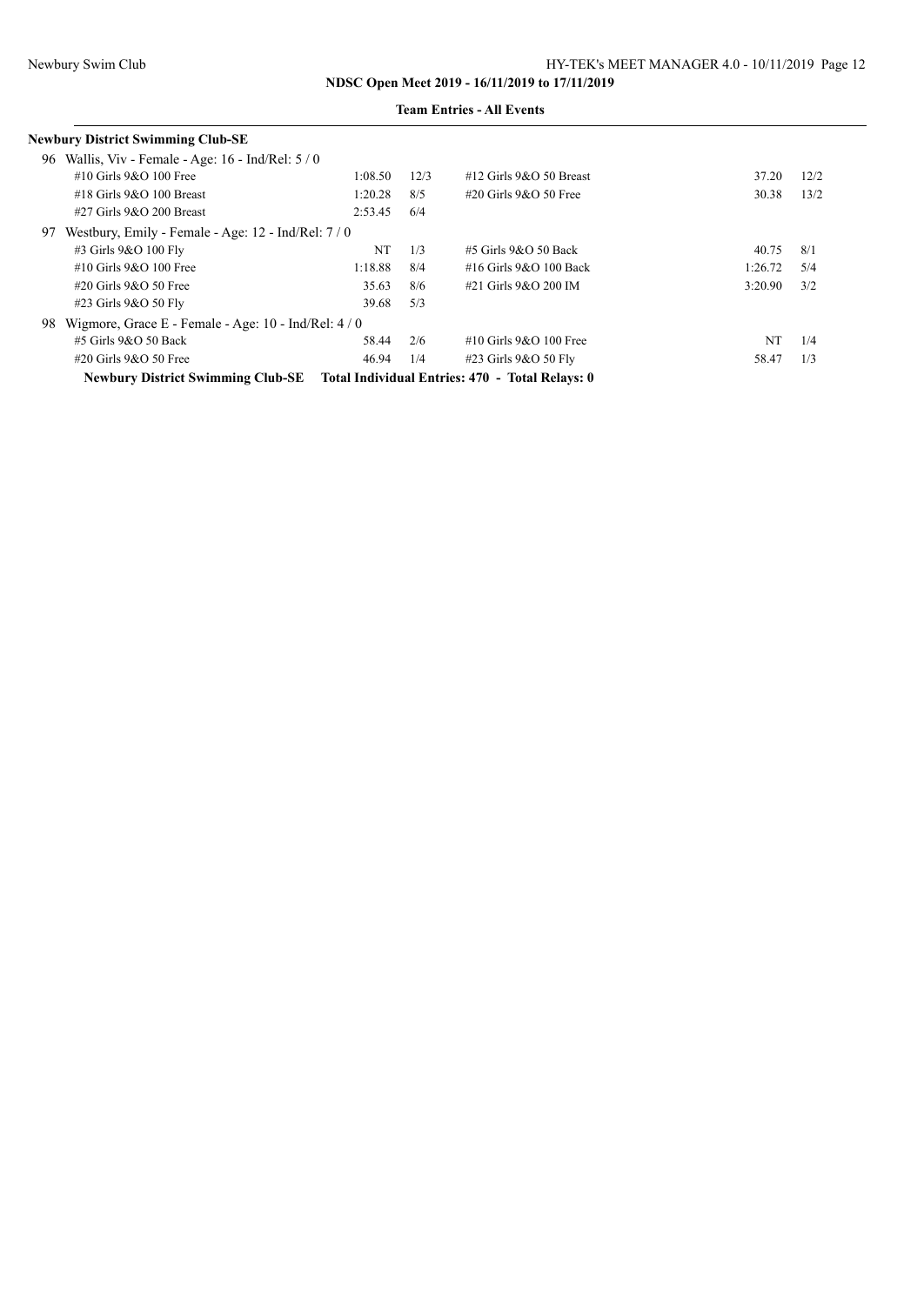| <b>Team Entries - All Events</b> |  |
|----------------------------------|--|
|----------------------------------|--|

|     | <b>Newbury District Swimming Club-SE</b>                                                    |         |      |                            |         |      |
|-----|---------------------------------------------------------------------------------------------|---------|------|----------------------------|---------|------|
| 96. | Wallis, Viv - Female - Age: $16$ - Ind/Rel: $5/0$                                           |         |      |                            |         |      |
|     | #10 Girls 9&O 100 Free                                                                      | 1:08.50 | 12/3 | #12 Girls $9&O 50$ Breast  | 37.20   | 12/2 |
|     | $\#18$ Girls 9&O 100 Breast                                                                 | 1:20.28 | 8/5  | $\#20$ Girls $9&O$ 50 Free | 30.38   | 13/2 |
|     | $#27$ Girls $9&O$ 200 Breast                                                                | 2:53.45 | 6/4  |                            |         |      |
| 97. | Westbury, Emily - Female - Age: $12$ - Ind/Rel: $7/0$                                       |         |      |                            |         |      |
|     | #3 Girls 9&O 100 Fly                                                                        | NT      | 1/3  | $\#$ 5 Girls 9&O 50 Back   | 40.75   | 8/1  |
|     | $\#10$ Girls 9&O 100 Free                                                                   | 1:18.88 | 8/4  | #16 Girls 9&O 100 Back     | 1:26.72 | 5/4  |
|     | $\#20$ Girls 9&O 50 Free                                                                    | 35.63   | 8/6  | #21 Girls 9&O 200 IM       | 3:20.90 | 3/2  |
|     | #23 Girls 9&O 50 Fly                                                                        | 39.68   | 5/3  |                            |         |      |
| 98  | Wigmore, Grace E - Female - Age: $10$ - Ind/Rel: $4/0$                                      |         |      |                            |         |      |
|     | #5 Girls 9&O 50 Back                                                                        | 58.44   | 2/6  | #10 Girls 9&O 100 Free     | NT      | 1/4  |
|     | $\#20$ Girls 9&O 50 Free                                                                    | 46.94   | 1/4  | #23 Girls 9&O 50 Fly       | 58.47   | 1/3  |
|     | Total Individual Entries: 470 - Total Relays: 0<br><b>Newbury District Swimming Club-SE</b> |         |      |                            |         |      |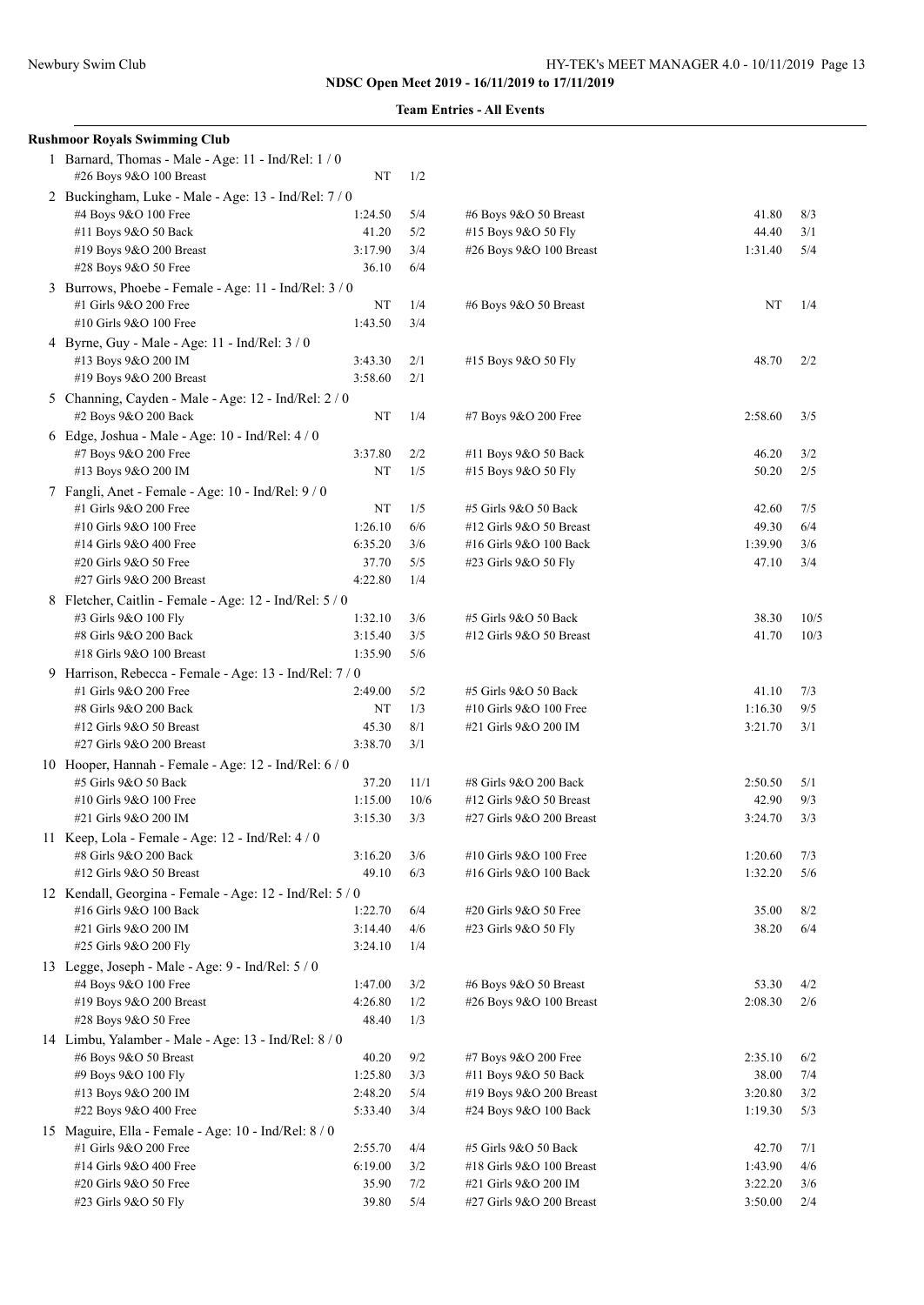| <b>Rushmoor Royals Swimming Club</b>                     |                  |            |                          |                    |            |
|----------------------------------------------------------|------------------|------------|--------------------------|--------------------|------------|
| 1 Barnard, Thomas - Male - Age: 11 - Ind/Rel: 1 / 0      |                  |            |                          |                    |            |
| #26 Boys 9&O 100 Breast                                  | NT               | 1/2        |                          |                    |            |
| 2 Buckingham, Luke - Male - Age: 13 - Ind/Rel: 7 / 0     |                  |            |                          |                    |            |
| #4 Boys 9&O 100 Free                                     | 1:24.50          | 5/4        | #6 Boys 9&O 50 Breast    | 41.80              | 8/3        |
| #11 Boys 9&O 50 Back                                     | 41.20            | 5/2        | #15 Boys 9&O 50 Fly      | 44.40              | 3/1        |
| #19 Boys 9&O 200 Breast                                  | 3:17.90<br>36.10 | 3/4<br>6/4 | #26 Boys 9&O 100 Breast  | 1:31.40            | 5/4        |
| #28 Boys 9&O 50 Free                                     |                  |            |                          |                    |            |
| 3 Burrows, Phoebe - Female - Age: 11 - Ind/Rel: 3 / 0    |                  |            |                          |                    |            |
| #1 Girls 9&O 200 Free                                    | NT               | 1/4        | #6 Boys 9&O 50 Breast    | NT                 | 1/4        |
| #10 Girls 9&O 100 Free                                   | 1:43.50          | 3/4        |                          |                    |            |
| 4 Byrne, Guy - Male - Age: 11 - Ind/Rel: 3 / 0           |                  |            |                          |                    |            |
| #13 Boys 9&O 200 IM                                      | 3:43.30          | 2/1        | #15 Boys 9&O 50 Fly      | 48.70              | 2/2        |
| #19 Boys 9&O 200 Breast                                  | 3:58.60          | 2/1        |                          |                    |            |
| 5 Channing, Cayden - Male - Age: 12 - Ind/Rel: 2 / 0     |                  |            |                          |                    |            |
| #2 Boys 9&O 200 Back                                     | NT               | 1/4        | #7 Boys 9&O 200 Free     | 2:58.60            | 3/5        |
| 6 Edge, Joshua - Male - Age: $10$ - Ind/Rel: $4/0$       |                  |            |                          |                    |            |
| #7 Boys 9&O 200 Free                                     | 3:37.80          | 2/2        | #11 Boys 9&O 50 Back     | 46.20              | 3/2        |
| #13 Boys 9&O 200 IM                                      | NT               | 1/5        | #15 Boys 9&O 50 Fly      | 50.20              | 2/5        |
| 7 Fangli, Anet - Female - Age: 10 - Ind/Rel: 9 / 0       |                  |            |                          |                    |            |
| #1 Girls 9&O 200 Free                                    | NT               | 1/5        | #5 Girls 9&O 50 Back     | 42.60              | 7/5        |
| #10 Girls 9&O 100 Free                                   | 1:26.10          | 6/6        | #12 Girls 9&O 50 Breast  | 49.30              | 6/4        |
| #14 Girls 9&O 400 Free                                   | 6:35.20          | 3/6        | #16 Girls 9&O 100 Back   | 1:39.90            | 3/6        |
| #20 Girls 9&O 50 Free                                    | 37.70            | 5/5        | #23 Girls 9&O 50 Fly     | 47.10              | 3/4        |
| #27 Girls 9&O 200 Breast                                 | 4:22.80          | 1/4        |                          |                    |            |
| 8 Fletcher, Caitlin - Female - Age: 12 - Ind/Rel: 5 / 0  |                  |            |                          |                    |            |
| #3 Girls 9&O 100 Fly                                     | 1:32.10          | 3/6        | #5 Girls 9&O 50 Back     | 38.30              | 10/5       |
| #8 Girls 9&O 200 Back                                    | 3:15.40          | 3/5        | #12 Girls 9&O 50 Breast  | 41.70              | 10/3       |
| #18 Girls 9&O 100 Breast                                 | 1:35.90          | 5/6        |                          |                    |            |
| 9 Harrison, Rebecca - Female - Age: 13 - Ind/Rel: 7/0    |                  |            |                          |                    |            |
| #1 Girls 9&O 200 Free                                    | 2:49.00          | 5/2        | #5 Girls 9&O 50 Back     | 41.10              | 7/3        |
| #8 Girls 9&O 200 Back                                    | NT               | 1/3        | #10 Girls 9&O 100 Free   | 1:16.30            | 9/5        |
| #12 Girls 9&O 50 Breast<br>#27 Girls 9&O 200 Breast      | 45.30            | 8/1        | #21 Girls 9&O 200 IM     | 3:21.70            | 3/1        |
|                                                          | 3:38.70          | 3/1        |                          |                    |            |
| 10 Hooper, Hannah - Female - Age: 12 - Ind/Rel: 6 / 0    |                  |            |                          |                    |            |
| #5 Girls 9&O 50 Back                                     | 37.20            | 11/1       | #8 Girls 9&O 200 Back    | 2:50.50            | 5/1        |
| #10 Girls 9&O 100 Free                                   | 1:15.00          | 10/6       | #12 Girls 9&O 50 Breast  | 42.90              | 9/3        |
| #21 Girls 9&O 200 IM                                     | 3:15.30          | 3/3        | #27 Girls 9&O 200 Breast | 3:24.70            | 3/3        |
| 11 Keep, Lola - Female - Age: $12$ - Ind/Rel: $4/0$      |                  |            |                          |                    |            |
| #8 Girls 9&O 200 Back                                    | 3:16.20          | 3/6        | #10 Girls 9&O 100 Free   | 1:20.60            | 7/3        |
| #12 Girls 9&O 50 Breast                                  | 49.10            | 6/3        | #16 Girls 9&O 100 Back   | 1:32.20            | 5/6        |
| 12 Kendall, Georgina - Female - Age: 12 - Ind/Rel: 5 / 0 |                  |            |                          |                    |            |
| #16 Girls 9&O 100 Back                                   | 1:22.70          | 6/4        | #20 Girls 9&O 50 Free    | 35.00              | 8/2        |
| #21 Girls 9&O 200 IM                                     | 3:14.40          | 4/6        | #23 Girls 9&O 50 Fly     | 38.20              | 6/4        |
| #25 Girls 9&O 200 Fly                                    | 3:24.10          | 1/4        |                          |                    |            |
| 13 Legge, Joseph - Male - Age: 9 - Ind/Rel: 5 / 0        |                  |            |                          |                    |            |
| #4 Boys 9&O 100 Free                                     | 1:47.00          | 3/2        | #6 Boys 9&O 50 Breast    | 53.30              | 4/2        |
| #19 Boys 9&O 200 Breast                                  | 4:26.80          | 1/2        | #26 Boys 9&O 100 Breast  | 2:08.30            | 2/6        |
| #28 Boys 9&O 50 Free                                     | 48.40            | 1/3        |                          |                    |            |
| 14 Limbu, Yalamber - Male - Age: 13 - Ind/Rel: 8 / 0     |                  |            |                          |                    |            |
| #6 Boys 9&O 50 Breast                                    | 40.20            | 9/2        | #7 Boys 9&O 200 Free     | 2:35.10            | 6/2        |
| #9 Boys 9&O 100 Fly                                      | 1:25.80          | 3/3        | #11 Boys 9&O 50 Back     | 38.00              | 7/4        |
| #13 Boys 9&O 200 IM                                      | 2:48.20          | 5/4        | #19 Boys 9&O 200 Breast  | 3:20.80            | 3/2        |
| #22 Boys 9&O 400 Free                                    | 5:33.40          | 3/4        | #24 Boys 9&O 100 Back    | 1:19.30            | 5/3        |
| 15 Maguire, Ella - Female - Age: 10 - Ind/Rel: 8 / 0     |                  |            |                          |                    |            |
| #1 Girls 9&O 200 Free                                    | 2:55.70          | 4/4        | #5 Girls 9&O 50 Back     | 42.70              | 7/1        |
| #14 Girls 9&O 400 Free                                   | 6:19.00<br>35.90 | 3/2        | #18 Girls 9&O 100 Breast | 1:43.90            | 4/6        |
| #20 Girls 9&O 50 Free                                    | 39.80            | 7/2<br>5/4 | #21 Girls 9&O 200 IM     | 3:22.20<br>3:50.00 | 3/6<br>2/4 |
| #23 Girls 9&O 50 Fly                                     |                  |            | #27 Girls 9&O 200 Breast |                    |            |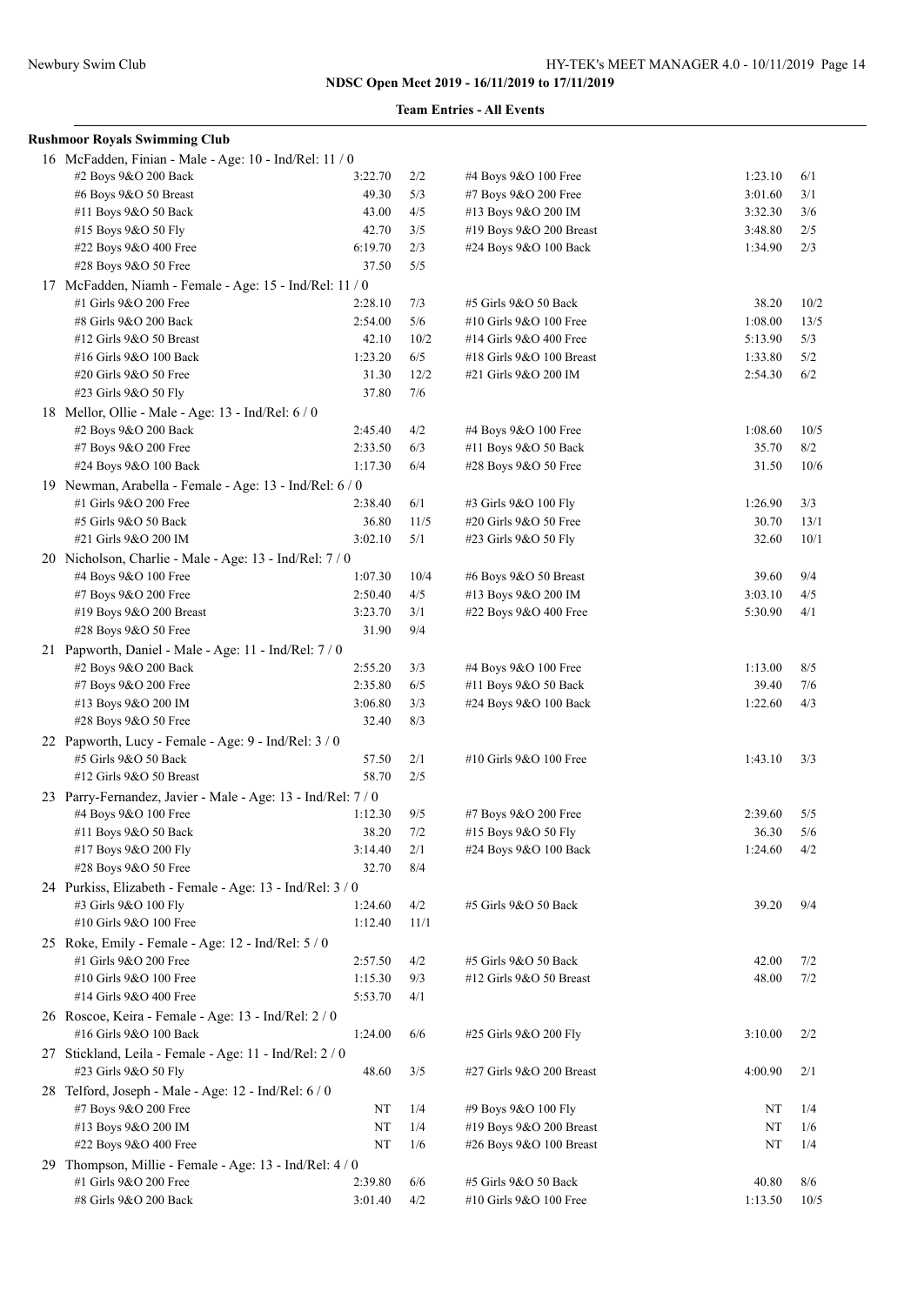| <b>Rushmoor Royals Swimming Club</b>                                       |         |      |                          |         |      |
|----------------------------------------------------------------------------|---------|------|--------------------------|---------|------|
| 16 McFadden, Finian - Male - Age: 10 - Ind/Rel: 11 / 0                     |         |      |                          |         |      |
| #2 Boys 9&O 200 Back                                                       | 3:22.70 | 2/2  | #4 Boys 9&O 100 Free     | 1:23.10 | 6/1  |
| #6 Boys 9&O 50 Breast                                                      | 49.30   | 5/3  | #7 Boys 9&O 200 Free     | 3:01.60 | 3/1  |
| #11 Boys 9&O 50 Back                                                       | 43.00   | 4/5  | #13 Boys 9&O 200 IM      | 3:32.30 | 3/6  |
| #15 Boys 9&O 50 Fly                                                        | 42.70   | 3/5  | #19 Boys 9&O 200 Breast  | 3:48.80 | 2/5  |
| #22 Boys 9&O 400 Free                                                      | 6:19.70 | 2/3  | #24 Boys 9&O 100 Back    | 1:34.90 | 2/3  |
| #28 Boys 9&O 50 Free                                                       | 37.50   | 5/5  |                          |         |      |
| 17 McFadden, Niamh - Female - Age: 15 - Ind/Rel: 11 / 0                    |         |      |                          |         |      |
| #1 Girls 9&O 200 Free                                                      | 2:28.10 | 7/3  | #5 Girls 9&O 50 Back     | 38.20   | 10/2 |
| #8 Girls 9&O 200 Back                                                      | 2:54.00 | 5/6  | #10 Girls 9&O 100 Free   | 1:08.00 | 13/5 |
| #12 Girls 9&O 50 Breast                                                    | 42.10   | 10/2 | #14 Girls 9&O 400 Free   | 5:13.90 | 5/3  |
| #16 Girls 9&O 100 Back                                                     | 1:23.20 | 6/5  | #18 Girls 9&O 100 Breast | 1:33.80 | 5/2  |
| #20 Girls 9&O 50 Free                                                      | 31.30   | 12/2 | #21 Girls 9&O 200 IM     | 2:54.30 | 6/2  |
| #23 Girls 9&O 50 Fly                                                       | 37.80   | 7/6  |                          |         |      |
|                                                                            |         |      |                          |         |      |
| 18 Mellor, Ollie - Male - Age: 13 - Ind/Rel: 6 / 0<br>#2 Boys 9&O 200 Back | 2:45.40 | 4/2  | #4 Boys 9&O 100 Free     | 1:08.60 | 10/5 |
|                                                                            | 2:33.50 | 6/3  |                          | 35.70   | 8/2  |
| #7 Boys 9&O 200 Free                                                       |         |      | #11 Boys 9&O 50 Back     |         |      |
| #24 Boys 9&O 100 Back                                                      | 1:17.30 | 6/4  | #28 Boys 9&O 50 Free     | 31.50   | 10/6 |
| 19 Newman, Arabella - Female - Age: 13 - Ind/Rel: 6 / 0                    |         |      |                          |         |      |
| #1 Girls 9&O 200 Free                                                      | 2:38.40 | 6/1  | #3 Girls 9&O 100 Fly     | 1:26.90 | 3/3  |
| #5 Girls 9&O 50 Back                                                       | 36.80   | 11/5 | #20 Girls 9&O 50 Free    | 30.70   | 13/1 |
| #21 Girls 9&O 200 IM                                                       | 3:02.10 | 5/1  | #23 Girls 9&O 50 Fly     | 32.60   | 10/1 |
| 20 Nicholson, Charlie - Male - Age: 13 - Ind/Rel: 7/0                      |         |      |                          |         |      |
| #4 Boys 9&O 100 Free                                                       | 1:07.30 | 10/4 | #6 Boys 9&O 50 Breast    | 39.60   | 9/4  |
| #7 Boys 9&O 200 Free                                                       | 2:50.40 | 4/5  | #13 Boys 9&O 200 IM      | 3:03.10 | 4/5  |
| #19 Boys 9&O 200 Breast                                                    | 3:23.70 | 3/1  | #22 Boys 9&O 400 Free    | 5:30.90 | 4/1  |
| #28 Boys 9&O 50 Free                                                       | 31.90   | 9/4  |                          |         |      |
| 21 Papworth, Daniel - Male - Age: 11 - Ind/Rel: 7 / 0                      |         |      |                          |         |      |
| #2 Boys 9&O 200 Back                                                       | 2:55.20 | 3/3  | #4 Boys 9&O 100 Free     | 1:13.00 | 8/5  |
| #7 Boys 9&O 200 Free                                                       | 2:35.80 | 6/5  | #11 Boys 9&O 50 Back     | 39.40   | 7/6  |
| #13 Boys 9&O 200 IM                                                        | 3:06.80 | 3/3  | #24 Boys 9&O 100 Back    | 1:22.60 | 4/3  |
| #28 Boys 9&O 50 Free                                                       | 32.40   | 8/3  |                          |         |      |
| 22 Papworth, Lucy - Female - Age: 9 - Ind/Rel: 3 / 0                       |         |      |                          |         |      |
| #5 Girls 9&O 50 Back                                                       | 57.50   | 2/1  | #10 Girls 9&O 100 Free   | 1:43.10 | 3/3  |
| #12 Girls 9&O 50 Breast                                                    | 58.70   | 2/5  |                          |         |      |
| 23 Parry-Fernandez, Javier - Male - Age: 13 - Ind/Rel: 7 / 0               |         |      |                          |         |      |
| #4 Boys 9&O 100 Free                                                       | 1:12.30 | 9/5  | #7 Boys 9&O 200 Free     | 2:39.60 | 5/5  |
| #11 Boys 9&O 50 Back                                                       | 38.20   | 7/2  | #15 Boys 9&O 50 Fly      | 36.30   | 5/6  |
| #17 Boys 9&O 200 Fly                                                       | 3:14.40 | 2/1  | #24 Boys 9&O 100 Back    | 1:24.60 | 4/2  |
| #28 Boys 9&O 50 Free                                                       | 32.70   | 8/4  |                          |         |      |
| 24 Purkiss, Elizabeth - Female - Age: 13 - Ind/Rel: 3 / 0                  |         |      |                          |         |      |
| #3 Girls 9&O 100 Fly                                                       | 1:24.60 | 4/2  | #5 Girls 9&O 50 Back     | 39.20   | 9/4  |
| #10 Girls 9&O 100 Free                                                     | 1:12.40 | 11/1 |                          |         |      |
| 25 Roke, Emily - Female - Age: 12 - Ind/Rel: 5 / 0                         |         |      |                          |         |      |
| #1 Girls 9&O 200 Free                                                      |         |      |                          |         |      |
|                                                                            | 2:57.50 | 4/2  | #5 Girls 9&O 50 Back     | 42.00   | 7/2  |
| #10 Girls 9&O 100 Free                                                     | 1:15.30 | 9/3  | #12 Girls 9&O 50 Breast  | 48.00   | 7/2  |
| #14 Girls 9&O 400 Free                                                     | 5:53.70 | 4/1  |                          |         |      |
| 26 Roscoe, Keira - Female - Age: 13 - Ind/Rel: 2 / 0                       |         |      |                          |         |      |
| #16 Girls 9&O 100 Back                                                     | 1:24.00 | 6/6  | #25 Girls 9&O 200 Fly    | 3:10.00 | 2/2  |
| 27 Stickland, Leila - Female - Age: 11 - Ind/Rel: 2 / 0                    |         |      |                          |         |      |
| #23 Girls 9&O 50 Fly                                                       | 48.60   | 3/5  | #27 Girls 9&O 200 Breast | 4:00.90 | 2/1  |
| 28 Telford, Joseph - Male - Age: 12 - Ind/Rel: 6 / 0                       |         |      |                          |         |      |
| #7 Boys 9&O 200 Free                                                       | NT      | 1/4  | #9 Boys 9&O 100 Fly      | NT      | 1/4  |
| #13 Boys 9&O 200 IM                                                        | NT      | 1/4  | #19 Boys 9&O 200 Breast  | NT      | 1/6  |
| #22 Boys 9&O 400 Free                                                      | NT      | 1/6  | #26 Boys 9&O 100 Breast  | NT      | 1/4  |
| 29 Thompson, Millie - Female - Age: 13 - Ind/Rel: 4 / 0                    |         |      |                          |         |      |
| #1 Girls 9&O 200 Free                                                      | 2:39.80 | 6/6  | #5 Girls 9&O 50 Back     | 40.80   | 8/6  |
| #8 Girls 9&O 200 Back                                                      | 3:01.40 | 4/2  | #10 Girls 9&O 100 Free   | 1:13.50 | 10/5 |
|                                                                            |         |      |                          |         |      |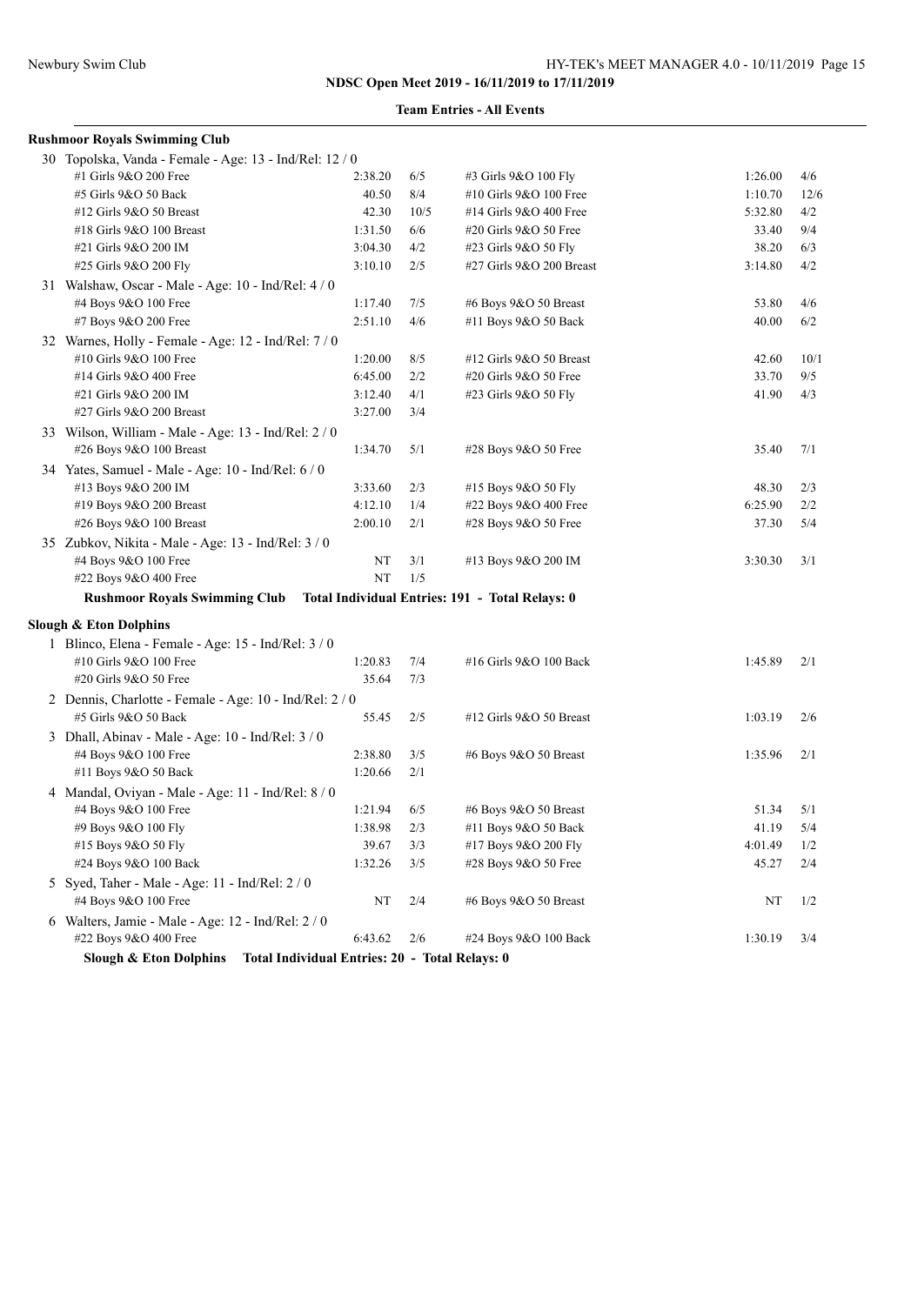|  | <b>Team Entries - All Events</b> |  |  |
|--|----------------------------------|--|--|
|--|----------------------------------|--|--|

| <b>Rushmoor Royals Swimming Club</b>                                                |         |       |                          |         |      |
|-------------------------------------------------------------------------------------|---------|-------|--------------------------|---------|------|
| 30 Topolska, Vanda - Female - Age: 13 - Ind/Rel: 12 / 0                             |         |       |                          |         |      |
| #1 Girls 9&O 200 Free                                                               | 2:38.20 | 6/5   | #3 Girls 9&O 100 Fly     | 1:26.00 | 4/6  |
| #5 Girls 9&O 50 Back                                                                | 40.50   | 8/4   | #10 Girls 9&O 100 Free   | 1:10.70 | 12/6 |
| #12 Girls 9&O 50 Breast                                                             | 42.30   | 10/5  | #14 Girls 9&O 400 Free   | 5:32.80 | 4/2  |
| #18 Girls 9&O 100 Breast                                                            | 1:31.50 | 6/6   | #20 Girls 9&O 50 Free    | 33.40   | 9/4  |
| #21 Girls 9&O 200 IM                                                                | 3:04.30 | 4/2   | #23 Girls 9&O 50 Fly     | 38.20   | 6/3  |
| #25 Girls 9&O 200 Fly                                                               | 3:10.10 | $2/5$ | #27 Girls 9&O 200 Breast | 3:14.80 | 4/2  |
| 31 Walshaw, Oscar - Male - Age: 10 - Ind/Rel: 4 / 0                                 |         |       |                          |         |      |
| #4 Boys 9&O 100 Free                                                                | 1:17.40 | 7/5   | #6 Boys 9&O 50 Breast    | 53.80   | 4/6  |
| #7 Boys 9&O 200 Free                                                                | 2:51.10 | 4/6   | #11 Boys 9&O 50 Back     | 40.00   | 6/2  |
| 32 Warnes, Holly - Female - Age: 12 - Ind/Rel: 7 / 0                                |         |       |                          |         |      |
| #10 Girls 9&O 100 Free                                                              | 1:20.00 | 8/5   | #12 Girls 9&O 50 Breast  | 42.60   | 10/1 |
| #14 Girls 9&O 400 Free                                                              | 6:45.00 | 2/2   | #20 Girls 9&O 50 Free    | 33.70   | 9/5  |
| #21 Girls 9&O 200 IM                                                                | 3:12.40 | 4/1   | #23 Girls 9&O 50 Fly     | 41.90   | 4/3  |
| #27 Girls 9&O 200 Breast                                                            | 3:27.00 | 3/4   |                          |         |      |
| 33 Wilson, William - Male - Age: 13 - Ind/Rel: 2 / 0                                |         |       |                          |         |      |
| #26 Boys 9&O 100 Breast                                                             | 1:34.70 | 5/1   | #28 Boys 9&O 50 Free     | 35.40   | 7/1  |
| 34 Yates, Samuel - Male - Age: 10 - Ind/Rel: 6 / 0                                  |         |       |                          |         |      |
| #13 Boys 9&O 200 IM                                                                 | 3:33.60 | 2/3   | #15 Boys 9&O 50 Fly      | 48.30   | 2/3  |
| #19 Boys 9&O 200 Breast                                                             | 4:12.10 | 1/4   | #22 Boys 9&O 400 Free    | 6:25.90 | 2/2  |
| #26 Boys 9&O 100 Breast                                                             | 2:00.10 | 2/1   | #28 Boys 9&O 50 Free     | 37.30   | 5/4  |
| 35 Zubkov, Nikita - Male - Age: 13 - Ind/Rel: 3 / 0                                 |         |       |                          |         |      |
| #4 Boys 9&O 100 Free                                                                | NT      | 3/1   | #13 Boys 9&O 200 IM      | 3:30.30 | 3/1  |
| #22 Boys 9&O 400 Free                                                               | NT      | 1/5   |                          |         |      |
| Rushmoor Royals Swimming Club Total Individual Entries: 191 - Total Relays: 0       |         |       |                          |         |      |
| <b>Slough &amp; Eton Dolphins</b>                                                   |         |       |                          |         |      |
|                                                                                     |         |       |                          |         |      |
| 1 Blinco, Elena - Female - Age: 15 - Ind/Rel: 3 / 0<br>#10 Girls 9&O 100 Free       | 1:20.83 | 7/4   | #16 Girls 9&O 100 Back   | 1:45.89 | 2/1  |
|                                                                                     | 35.64   | 7/3   |                          |         |      |
| #20 Girls 9&O 50 Free                                                               |         |       |                          |         |      |
| 2 Dennis, Charlotte - Female - Age: 10 - Ind/Rel: 2 / 0                             |         |       |                          |         |      |
| #5 Girls 9&O 50 Back                                                                | 55.45   | 2/5   | #12 Girls 9&O 50 Breast  | 1:03.19 | 2/6  |
| 3 Dhall, Abinav - Male - Age: 10 - Ind/Rel: 3 / 0                                   |         |       |                          |         |      |
| #4 Boys 9&O 100 Free                                                                | 2:38.80 | 3/5   | #6 Boys 9&O 50 Breast    | 1:35.96 | 2/1  |
| #11 Boys 9&O 50 Back                                                                | 1:20.66 | 2/1   |                          |         |      |
| 4 Mandal, Oviyan - Male - Age: 11 - Ind/Rel: 8 / 0                                  |         |       |                          |         |      |
| #4 Boys 9&O 100 Free                                                                | 1:21.94 | 6/5   | #6 Boys 9&O 50 Breast    | 51.34   | 5/1  |
| #9 Boys 9&O 100 Fly                                                                 | 1:38.98 | 2/3   | #11 Boys 9&O 50 Back     | 41.19   | 5/4  |
| #15 Boys 9&O 50 Fly                                                                 | 39.67   | 3/3   | #17 Boys 9&O 200 Fly     | 4:01.49 | 1/2  |
| #24 Boys 9&O 100 Back                                                               | 1:32.26 | 3/5   | #28 Boys 9&O 50 Free     | 45.27   | 2/4  |
| 5 Syed, Taher - Male - Age: 11 - Ind/Rel: 2 / 0                                     |         |       |                          |         |      |
| #4 Boys 9&O 100 Free                                                                | ΝT      | 2/4   | #6 Boys 9&O 50 Breast    | NT      | 1/2  |
| 6 Walters, Jamie - Male - Age: $12$ - Ind/Rel: $2/0$                                |         |       |                          |         |      |
| #22 Boys 9&O 400 Free                                                               | 6:43.62 | 2/6   | #24 Boys 9&O 100 Back    | 1:30.19 | 3/4  |
| <b>Slough &amp; Eton Dolphins</b><br>Total Individual Entries: 20 - Total Relays: 0 |         |       |                          |         |      |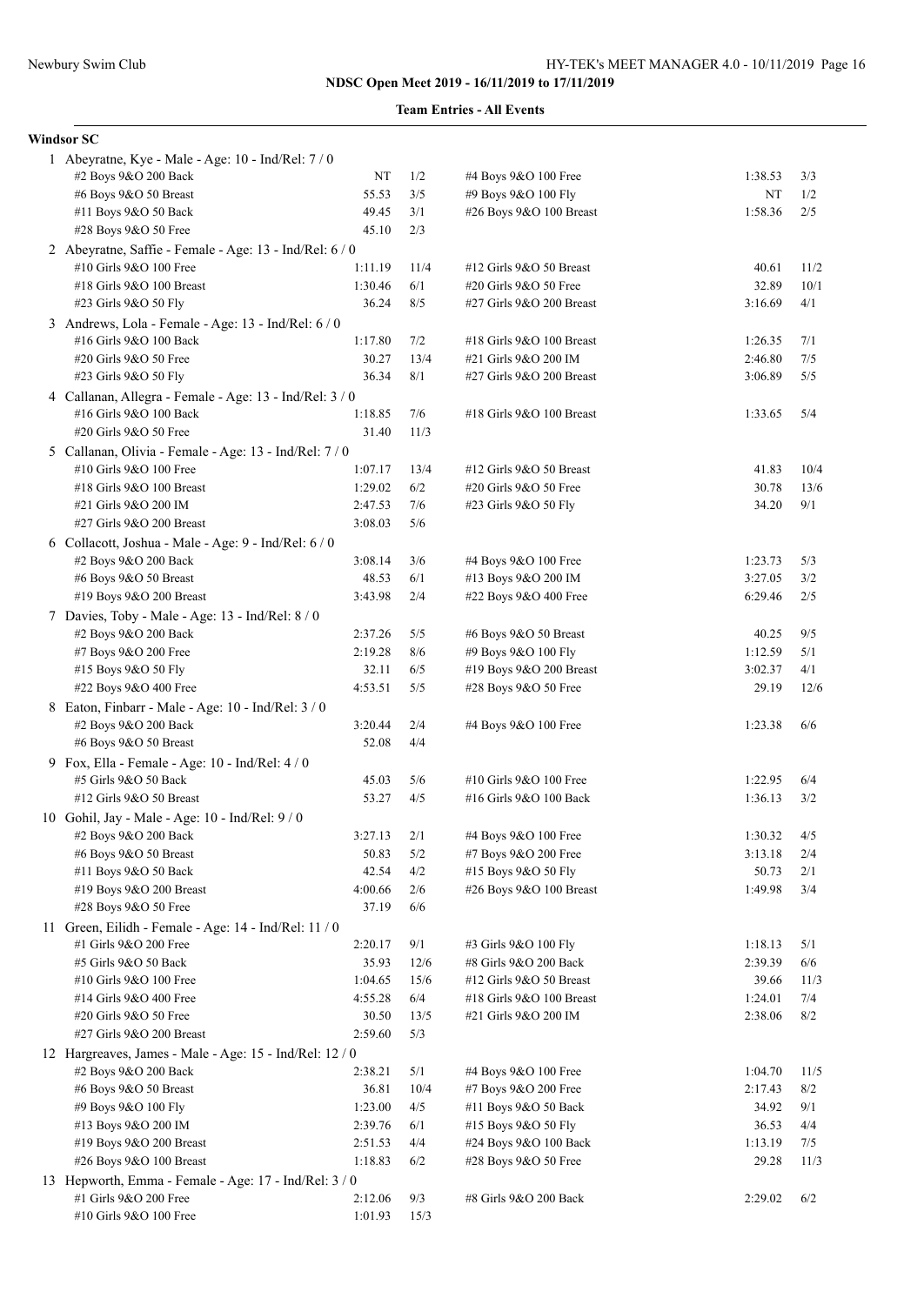|  | <b>Team Entries - All Events</b> |  |  |
|--|----------------------------------|--|--|
|--|----------------------------------|--|--|

| Windsor SC                                              |                  |            |                                                  |                    |            |
|---------------------------------------------------------|------------------|------------|--------------------------------------------------|--------------------|------------|
| 1 Abeyratne, Kye - Male - Age: 10 - Ind/Rel: 7 / 0      |                  |            |                                                  |                    |            |
| #2 Boys 9&O 200 Back                                    | NT               | 1/2        | #4 Boys 9&O 100 Free                             | 1:38.53            | 3/3        |
| #6 Boys 9&O 50 Breast                                   | 55.53            | 3/5        | #9 Boys 9&O 100 Fly                              | NT                 | 1/2        |
| #11 Boys 9&O 50 Back                                    | 49.45            | 3/1        | #26 Boys 9&O 100 Breast                          | 1:58.36            | 2/5        |
| #28 Boys 9&O 50 Free                                    | 45.10            | 2/3        |                                                  |                    |            |
| 2 Abeyratne, Saffie - Female - Age: 13 - Ind/Rel: 6 / 0 |                  |            |                                                  |                    |            |
| #10 Girls 9&O 100 Free                                  | 1:11.19          | 11/4       | #12 Girls 9&O 50 Breast                          | 40.61              | 11/2       |
| #18 Girls 9&O 100 Breast                                | 1:30.46          | 6/1        | #20 Girls 9&O 50 Free                            | 32.89              | 10/1       |
| #23 Girls 9&O 50 Fly                                    | 36.24            | 8/5        | #27 Girls 9&O 200 Breast                         | 3:16.69            | 4/1        |
| 3 Andrews, Lola - Female - Age: 13 - Ind/Rel: 6 / 0     |                  |            |                                                  |                    |            |
| #16 Girls 9&O 100 Back                                  | 1:17.80          | 7/2        | #18 Girls 9&O 100 Breast                         | 1:26.35            | 7/1        |
| #20 Girls 9&O 50 Free                                   | 30.27            | 13/4       | #21 Girls 9&O 200 IM                             | 2:46.80            | 7/5        |
| #23 Girls 9&O 50 Fly                                    | 36.34            | 8/1        | #27 Girls 9&O 200 Breast                         | 3:06.89            | 5/5        |
| 4 Callanan, Allegra - Female - Age: 13 - Ind/Rel: 3/0   |                  |            |                                                  |                    |            |
| #16 Girls 9&O 100 Back                                  | 1:18.85          | 7/6        | #18 Girls 9&O 100 Breast                         | 1:33.65            | 5/4        |
| #20 Girls 9&O 50 Free                                   | 31.40            | 11/3       |                                                  |                    |            |
| 5 Callanan, Olivia - Female - Age: 13 - Ind/Rel: 7/0    |                  |            |                                                  |                    |            |
| #10 Girls 9&O 100 Free                                  | 1:07.17          | 13/4       | #12 Girls 9&O 50 Breast                          | 41.83              | 10/4       |
| #18 Girls 9&O 100 Breast                                | 1:29.02          | 6/2        | #20 Girls 9&O 50 Free                            | 30.78              | 13/6       |
| #21 Girls 9&O 200 IM                                    | 2:47.53          | 7/6        | #23 Girls 9&O 50 Fly                             | 34.20              | 9/1        |
| #27 Girls 9&O 200 Breast                                | 3:08.03          | 5/6        |                                                  |                    |            |
| 6 Collacott, Joshua - Male - Age: 9 - Ind/Rel: 6 / 0    |                  |            |                                                  |                    |            |
| #2 Boys 9&O 200 Back                                    | 3:08.14          | 3/6        | #4 Boys 9&O 100 Free                             | 1:23.73            | 5/3        |
| #6 Boys 9&O 50 Breast                                   | 48.53            | 6/1        | #13 Boys 9&O 200 IM                              | 3:27.05            | 3/2        |
| #19 Boys 9&O 200 Breast                                 | 3:43.98          | 2/4        | #22 Boys 9&O 400 Free                            | 6:29.46            | 2/5        |
| 7 Davies, Toby - Male - Age: 13 - Ind/Rel: 8 / 0        |                  |            |                                                  |                    |            |
| #2 Boys 9&O 200 Back                                    | 2:37.26          | 5/5        | #6 Boys 9&O 50 Breast                            | 40.25              | 9/5        |
| #7 Boys 9&O 200 Free                                    | 2:19.28          | 8/6        | #9 Boys 9&O 100 Fly                              | 1:12.59            | 5/1        |
| #15 Boys 9&O 50 Fly                                     | 32.11            | 6/5        | #19 Boys 9&O 200 Breast                          | 3:02.37            | 4/1        |
| #22 Boys 9&O 400 Free                                   | 4:53.51          | 5/5        | #28 Boys 9&O 50 Free                             | 29.19              | 12/6       |
| 8 Eaton, Finbarr - Male - Age: 10 - Ind/Rel: 3 / 0      |                  |            |                                                  |                    |            |
| #2 Boys 9&O 200 Back                                    | 3:20.44          | 2/4        | #4 Boys 9&O 100 Free                             | 1:23.38            | 6/6        |
| #6 Boys 9&O 50 Breast                                   | 52.08            | 4/4        |                                                  |                    |            |
| 9 Fox, Ella - Female - Age: $10$ - Ind/Rel: $4/0$       |                  |            |                                                  |                    |            |
| #5 Girls 9&O 50 Back<br>#12 Girls 9&O 50 Breast         | 45.03<br>53.27   | 5/6<br>4/5 | #10 Girls 9&O 100 Free<br>#16 Girls 9&O 100 Back | 1:22.95<br>1:36.13 | 6/4<br>3/2 |
|                                                         |                  |            |                                                  |                    |            |
| 10 Gohil, Jay - Male - Age: 10 - Ind/Rel: 9 / 0         |                  | 2/1        |                                                  |                    | 4/5        |
| #2 Boys 9&O 200 Back<br>#6 Boys 9&O 50 Breast           | 3:27.13<br>50.83 | 5/2        | #4 Boys 9&O 100 Free<br>#7 Boys 9&O 200 Free     | 1:30.32<br>3:13.18 | 2/4        |
| #11 Boys 9&O 50 Back                                    | 42.54            | 4/2        | #15 Boys 9&O 50 Fly                              | 50.73              | 2/1        |
| #19 Boys 9&O 200 Breast                                 | 4:00.66          | 2/6        | #26 Boys 9&O 100 Breast                          | 1:49.98            | 3/4        |
| #28 Boys 9&O 50 Free                                    | 37.19            | 6/6        |                                                  |                    |            |
| 11 Green, Eilidh - Female - Age: 14 - Ind/Rel: 11 / 0   |                  |            |                                                  |                    |            |
| #1 Girls 9&O 200 Free                                   | 2:20.17          | 9/1        | #3 Girls 9&O 100 Fly                             | 1:18.13            | 5/1        |
| #5 Girls 9&O 50 Back                                    | 35.93            | 12/6       | #8 Girls 9&O 200 Back                            | 2:39.39            | 6/6        |
| #10 Girls 9&O 100 Free                                  | 1:04.65          | 15/6       | #12 Girls 9&O 50 Breast                          | 39.66              | 11/3       |
| #14 Girls 9&O 400 Free                                  | 4:55.28          | 6/4        | #18 Girls 9&O 100 Breast                         | 1:24.01            | 7/4        |
| #20 Girls 9&O 50 Free                                   | 30.50            | 13/5       | #21 Girls 9&O 200 IM                             | 2:38.06            | 8/2        |
| #27 Girls 9&O 200 Breast                                | 2:59.60          | 5/3        |                                                  |                    |            |
| 12 Hargreaves, James - Male - Age: 15 - Ind/Rel: 12 / 0 |                  |            |                                                  |                    |            |
| #2 Boys 9&O 200 Back                                    | 2:38.21          | 5/1        | #4 Boys 9&O 100 Free                             | 1:04.70            | 11/5       |
| #6 Boys 9&O 50 Breast                                   | 36.81            | 10/4       | #7 Boys 9&O 200 Free                             | 2:17.43            | 8/2        |
| #9 Boys 9&O 100 Fly                                     | 1:23.00          | 4/5        | #11 Boys 9&O 50 Back                             | 34.92              | 9/1        |
| #13 Boys 9&O 200 IM                                     | 2:39.76          | 6/1        | #15 Boys 9&O 50 Fly                              | 36.53              | 4/4        |
| #19 Boys 9&O 200 Breast                                 | 2:51.53          | 4/4        | #24 Boys 9&O 100 Back                            | 1:13.19            | 7/5        |
| #26 Boys 9&O 100 Breast                                 | 1:18.83          | 6/2        | #28 Boys 9&O 50 Free                             | 29.28              | 11/3       |
| 13 Hepworth, Emma - Female - Age: 17 - Ind/Rel: 3/0     |                  |            |                                                  |                    |            |
| #1 Girls 9&O 200 Free                                   | 2:12.06          | 9/3        | #8 Girls 9&O 200 Back                            | 2:29.02            | 6/2        |
| #10 Girls 9&O 100 Free                                  | 1:01.93          | 15/3       |                                                  |                    |            |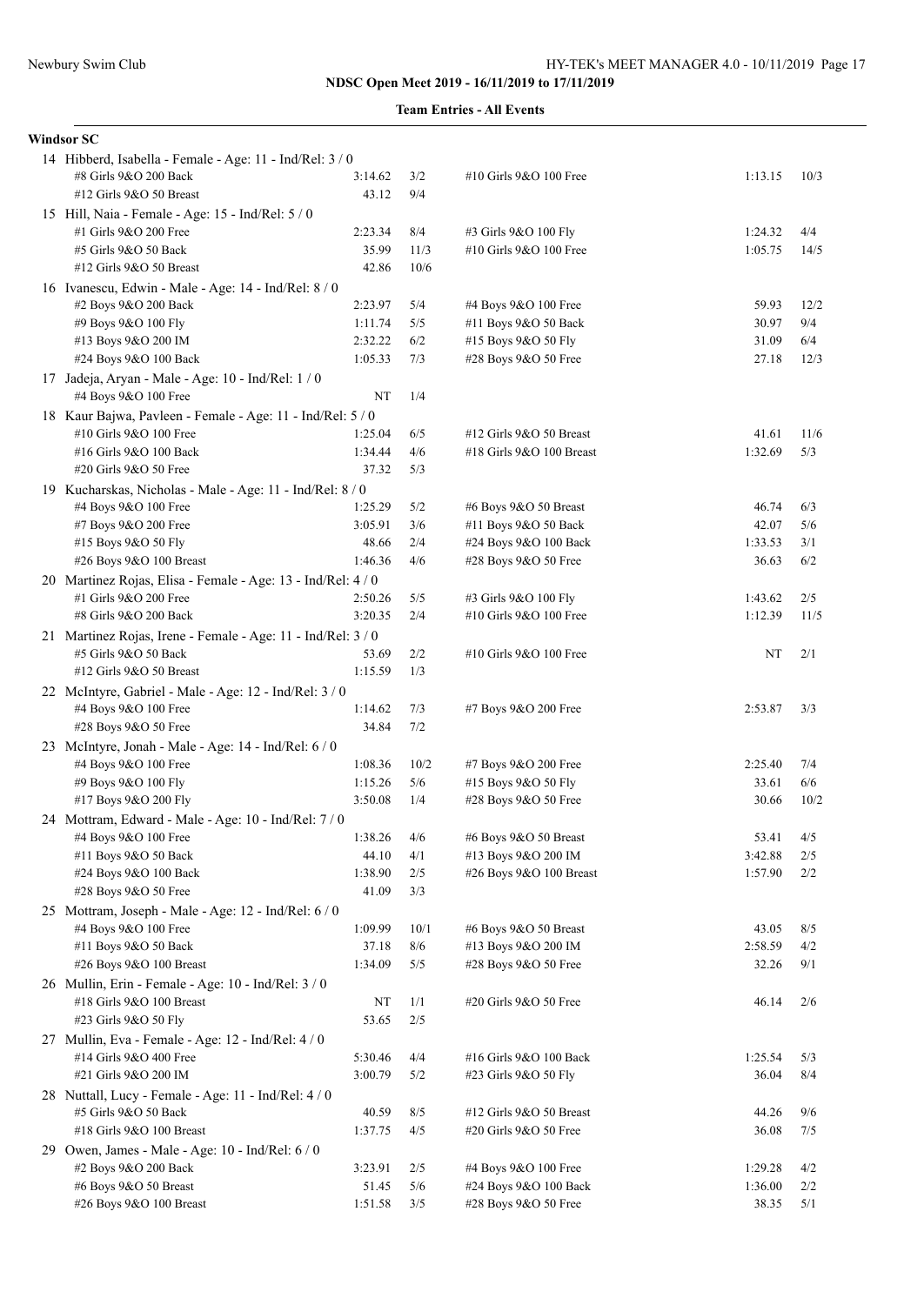| <b>Team Entries - All Events</b> |  |
|----------------------------------|--|
|----------------------------------|--|

|  | <b>Windsor SC</b>                                                               |                    |             |                                                  |                  |            |  |  |  |  |  |
|--|---------------------------------------------------------------------------------|--------------------|-------------|--------------------------------------------------|------------------|------------|--|--|--|--|--|
|  | 14 Hibberd, Isabella - Female - Age: 11 - Ind/Rel: 3 / 0                        |                    |             |                                                  |                  |            |  |  |  |  |  |
|  | #8 Girls 9&O 200 Back                                                           | 3:14.62            | 3/2         | #10 Girls 9&O 100 Free                           | 1:13.15          | 10/3       |  |  |  |  |  |
|  | #12 Girls 9&O 50 Breast                                                         | 43.12              | 9/4         |                                                  |                  |            |  |  |  |  |  |
|  | 15 Hill, Naia - Female - Age: 15 - Ind/Rel: 5 / 0                               |                    |             |                                                  |                  |            |  |  |  |  |  |
|  | #1 Girls 9&O 200 Free                                                           | 2:23.34            | 8/4         | #3 Girls 9&O 100 Fly                             | 1:24.32          | 4/4        |  |  |  |  |  |
|  | #5 Girls 9&O 50 Back                                                            | 35.99              | 11/3        | #10 Girls 9&O 100 Free                           | 1:05.75          | 14/5       |  |  |  |  |  |
|  | #12 Girls 9&O 50 Breast                                                         | 42.86              | 10/6        |                                                  |                  |            |  |  |  |  |  |
|  | 16 Ivanescu, Edwin - Male - Age: 14 - Ind/Rel: 8 / 0                            |                    |             |                                                  |                  |            |  |  |  |  |  |
|  | #2 Boys 9&O 200 Back                                                            | 2:23.97            | 5/4         | #4 Boys 9&O 100 Free                             | 59.93            | 12/2       |  |  |  |  |  |
|  | #9 Boys 9&O 100 Fly                                                             | 1:11.74            | 5/5         | #11 Boys 9&O 50 Back                             | 30.97            | 9/4        |  |  |  |  |  |
|  | #13 Boys 9&O 200 IM                                                             | 2:32.22            | 6/2         | #15 Boys 9&O 50 Fly                              | 31.09            | 6/4        |  |  |  |  |  |
|  | #24 Boys 9&O 100 Back                                                           | 1:05.33            | 7/3         | #28 Boys 9&O 50 Free                             | 27.18            | 12/3       |  |  |  |  |  |
|  | 17 Jadeja, Aryan - Male - Age: 10 - Ind/Rel: 1 / 0                              |                    |             |                                                  |                  |            |  |  |  |  |  |
|  | 1/4<br>#4 Boys 9&O 100 Free<br>NT                                               |                    |             |                                                  |                  |            |  |  |  |  |  |
|  | 18 Kaur Bajwa, Pavleen - Female - Age: 11 - Ind/Rel: 5 / 0                      |                    |             |                                                  |                  |            |  |  |  |  |  |
|  | #10 Girls 9&O 100 Free                                                          | 1:25.04            | 6/5         | #12 Girls 9&O 50 Breast                          | 41.61            | 11/6       |  |  |  |  |  |
|  | #16 Girls 9&O 100 Back                                                          | 1:34.44            | 4/6         | #18 Girls 9&O 100 Breast                         | 1:32.69          | 5/3        |  |  |  |  |  |
|  | #20 Girls 9&O 50 Free                                                           | 37.32              | 5/3         |                                                  |                  |            |  |  |  |  |  |
|  | 19 Kucharskas, Nicholas - Male - Age: 11 - Ind/Rel: 8 / 0                       |                    |             |                                                  |                  |            |  |  |  |  |  |
|  | #4 Boys 9&O 100 Free                                                            | 1:25.29            | 5/2         | #6 Boys 9&O 50 Breast                            | 46.74            | 6/3        |  |  |  |  |  |
|  | #7 Boys 9&O 200 Free                                                            | 3:05.91            | 3/6         | #11 Boys 9&O 50 Back                             | 42.07            | 5/6        |  |  |  |  |  |
|  | #15 Boys 9&O 50 Fly                                                             | 48.66              | 2/4         | #24 Boys 9&O 100 Back                            | 1:33.53          | 3/1        |  |  |  |  |  |
|  | #26 Boys 9&O 100 Breast                                                         | 1:46.36            | 4/6         | #28 Boys 9&O 50 Free                             | 36.63            | 6/2        |  |  |  |  |  |
|  | 20 Martinez Rojas, Elisa - Female - Age: 13 - Ind/Rel: 4 / 0                    |                    |             |                                                  |                  |            |  |  |  |  |  |
|  | #1 Girls 9&O 200 Free                                                           | 2:50.26            | 5/5         | #3 Girls 9&O 100 Fly                             | 1:43.62          | 2/5        |  |  |  |  |  |
|  | #8 Girls 9&O 200 Back                                                           | 3:20.35            | 2/4         | #10 Girls 9&O 100 Free                           | 1:12.39          | 11/5       |  |  |  |  |  |
|  | 21 Martinez Rojas, Irene - Female - Age: 11 - Ind/Rel: 3 / 0                    |                    |             |                                                  |                  |            |  |  |  |  |  |
|  | #5 Girls 9&O 50 Back                                                            | 53.69              | 2/2         | #10 Girls 9&O 100 Free                           | NT               | 2/1        |  |  |  |  |  |
|  | #12 Girls 9&O 50 Breast                                                         | 1:15.59            | 1/3         |                                                  |                  |            |  |  |  |  |  |
|  | 22 McIntyre, Gabriel - Male - Age: 12 - Ind/Rel: 3 / 0                          |                    |             |                                                  |                  |            |  |  |  |  |  |
|  | #4 Boys 9&O 100 Free                                                            | 1:14.62            | 7/3         | #7 Boys 9&O 200 Free                             | 2:53.87          | 3/3        |  |  |  |  |  |
|  | #28 Boys 9&O 50 Free                                                            | 34.84              | 7/2         |                                                  |                  |            |  |  |  |  |  |
|  | 23 McIntyre, Jonah - Male - Age: 14 - Ind/Rel: 6 / 0                            |                    |             |                                                  |                  |            |  |  |  |  |  |
|  | #4 Boys 9&O 100 Free                                                            | 1:08.36            | 10/2        | #7 Boys 9&O 200 Free                             | 2:25.40          | 7/4        |  |  |  |  |  |
|  | #9 Boys 9&O 100 Fly                                                             | 1:15.26            | 5/6         | #15 Boys 9&O 50 Fly                              | 33.61            | 6/6        |  |  |  |  |  |
|  | #17 Boys 9&O 200 Fly                                                            | 3:50.08            | 1/4         | #28 Boys 9&O 50 Free                             | 30.66            | 10/2       |  |  |  |  |  |
|  | 24 Mottram, Edward - Male - Age: 10 - Ind/Rel: 7 / 0                            |                    |             |                                                  |                  |            |  |  |  |  |  |
|  | #4 Boys 9&O 100 Free                                                            | 1:38.26            | 4/6         | #6 Boys 9&O 50 Breast                            | 53.41            | 4/5        |  |  |  |  |  |
|  | #11 Boys 9&O 50 Back                                                            | 44.10              | 4/1         | #13 Boys 9&O 200 IM                              | 3:42.88          | 2/5        |  |  |  |  |  |
|  | #24 Boys 9&O 100 Back<br>#28 Boys 9&O 50 Free                                   | 1:38.90<br>41.09   | 2/5<br>3/3  | #26 Boys 9&O 100 Breast                          | 1:57.90          | 2/2        |  |  |  |  |  |
|  |                                                                                 |                    |             |                                                  |                  |            |  |  |  |  |  |
|  | 25 Mottram, Joseph - Male - Age: 12 - Ind/Rel: 6 / 0                            |                    |             |                                                  |                  |            |  |  |  |  |  |
|  | #4 Boys 9&O 100 Free<br>#11 Boys 9&O 50 Back                                    | 1:09.99<br>37.18   | 10/1<br>8/6 | #6 Boys 9&O 50 Breast<br>#13 Boys 9&O 200 IM     | 43.05<br>2:58.59 | 8/5<br>4/2 |  |  |  |  |  |
|  | #26 Boys 9&O 100 Breast                                                         | 1:34.09            | 5/5         | #28 Boys 9&O 50 Free                             | 32.26            | 9/1        |  |  |  |  |  |
|  |                                                                                 |                    |             |                                                  |                  |            |  |  |  |  |  |
|  | 26 Mullin, Erin - Female - Age: 10 - Ind/Rel: 3 / 0<br>#18 Girls 9&O 100 Breast | NT                 | 1/1         | #20 Girls 9&O 50 Free                            | 46.14            | 2/6        |  |  |  |  |  |
|  | #23 Girls 9&O 50 Fly                                                            | 53.65              | 2/5         |                                                  |                  |            |  |  |  |  |  |
|  |                                                                                 |                    |             |                                                  |                  |            |  |  |  |  |  |
|  | 27 Mullin, Eva - Female - Age: 12 - Ind/Rel: 4 / 0                              |                    |             |                                                  |                  |            |  |  |  |  |  |
|  | #14 Girls 9&O 400 Free<br>#21 Girls 9&O 200 IM                                  | 5:30.46<br>3:00.79 | 4/4<br>5/2  | #16 Girls 9&O 100 Back<br>#23 Girls 9&O 50 Fly   | 1:25.54<br>36.04 | 5/3<br>8/4 |  |  |  |  |  |
|  |                                                                                 |                    |             |                                                  |                  |            |  |  |  |  |  |
|  | 28 Nuttall, Lucy - Female - Age: 11 - Ind/Rel: 4 / 0                            |                    |             |                                                  |                  |            |  |  |  |  |  |
|  | #5 Girls 9&O 50 Back<br>#18 Girls 9&O 100 Breast                                | 40.59<br>1:37.75   | 8/5<br>4/5  | #12 Girls 9&O 50 Breast<br>#20 Girls 9&O 50 Free | 44.26<br>36.08   | 9/6<br>7/5 |  |  |  |  |  |
|  |                                                                                 |                    |             |                                                  |                  |            |  |  |  |  |  |
|  | 29 Owen, James - Male - Age: $10$ - Ind/Rel: $6/0$                              | 3:23.91            | 2/5         |                                                  | 1:29.28          | 4/2        |  |  |  |  |  |
|  | #2 Boys 9&O 200 Back<br>#6 Boys 9&O 50 Breast                                   | 51.45              | 5/6         | #4 Boys 9&O 100 Free<br>#24 Boys 9&O 100 Back    | 1:36.00          | 2/2        |  |  |  |  |  |
|  | #26 Boys 9&O 100 Breast                                                         | 1:51.58            | 3/5         | #28 Boys 9&O 50 Free                             | 38.35            | 5/1        |  |  |  |  |  |
|  |                                                                                 |                    |             |                                                  |                  |            |  |  |  |  |  |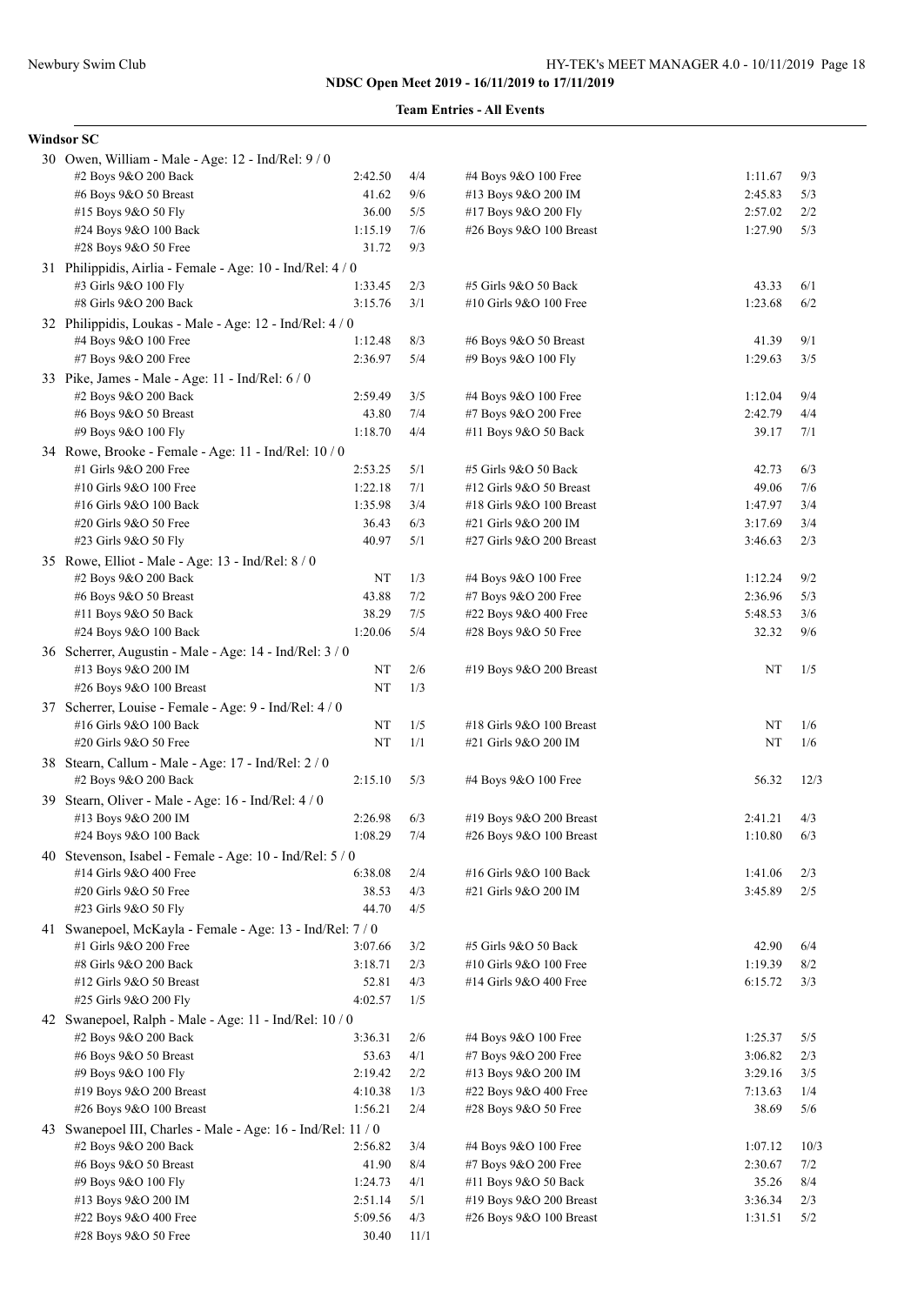#### **Team Entries - All Events**

| <b>Windsor SC</b>                                            |             |     |                          |         |      |  |  |
|--------------------------------------------------------------|-------------|-----|--------------------------|---------|------|--|--|
| 30 Owen, William - Male - Age: 12 - Ind/Rel: 9 / 0           |             |     |                          |         |      |  |  |
| #2 Boys 9&O 200 Back                                         | 2:42.50     | 4/4 | #4 Boys 9&O 100 Free     | 1:11.67 | 9/3  |  |  |
| #6 Boys 9&O 50 Breast                                        | 41.62       | 9/6 | #13 Boys 9&O 200 IM      | 2:45.83 | 5/3  |  |  |
| #15 Boys 9&O 50 Fly                                          | 36.00       | 5/5 | #17 Boys 9&O 200 Fly     | 2:57.02 | 2/2  |  |  |
| #24 Boys 9&O 100 Back                                        | 1:15.19     | 7/6 | #26 Boys 9&O 100 Breast  | 1:27.90 | 5/3  |  |  |
| #28 Boys 9&O 50 Free                                         | 31.72       | 9/3 |                          |         |      |  |  |
| 31 Philippidis, Airlia - Female - Age: 10 - Ind/Rel: 4 / 0   |             |     |                          |         |      |  |  |
| #3 Girls 9&O 100 Fly                                         | 1:33.45     | 2/3 | #5 Girls 9&O 50 Back     | 43.33   | 6/1  |  |  |
| #8 Girls 9&O 200 Back                                        | 3:15.76     | 3/1 | #10 Girls 9&O 100 Free   | 1:23.68 | 6/2  |  |  |
| 32 Philippidis, Loukas - Male - Age: 12 - Ind/Rel: 4 / 0     |             |     |                          |         |      |  |  |
| #4 Boys 9&O 100 Free                                         | 1:12.48     | 8/3 | #6 Boys 9&O 50 Breast    | 41.39   | 9/1  |  |  |
| #7 Boys 9&O 200 Free                                         | 2:36.97     | 5/4 | #9 Boys 9&O 100 Fly      | 1:29.63 | 3/5  |  |  |
| 33 Pike, James - Male - Age: 11 - Ind/Rel: 6 / 0             |             |     |                          |         |      |  |  |
| #2 Boys 9&O 200 Back                                         | 2:59.49     | 3/5 | #4 Boys 9&O 100 Free     | 1:12.04 | 9/4  |  |  |
| #6 Boys 9&O 50 Breast                                        | 43.80       | 7/4 | #7 Boys 9&O 200 Free     | 2:42.79 | 4/4  |  |  |
| #9 Boys 9&O 100 Fly                                          | 1:18.70     | 4/4 | #11 Boys 9&O 50 Back     | 39.17   | 7/1  |  |  |
| 34 Rowe, Brooke - Female - Age: 11 - Ind/Rel: 10 / 0         |             |     |                          |         |      |  |  |
| #1 Girls 9&O 200 Free                                        | 2:53.25     | 5/1 | #5 Girls 9&O 50 Back     | 42.73   | 6/3  |  |  |
| #10 Girls 9&O 100 Free                                       | 1:22.18     | 7/1 | #12 Girls 9&O 50 Breast  | 49.06   | 7/6  |  |  |
| #16 Girls 9&O 100 Back                                       | 1:35.98     | 3/4 | #18 Girls 9&O 100 Breast | 1:47.97 | 3/4  |  |  |
| #20 Girls 9&O 50 Free                                        | 36.43       | 6/3 | #21 Girls 9&O 200 IM     | 3:17.69 | 3/4  |  |  |
| #23 Girls 9&O 50 Fly                                         | 40.97       | 5/1 | #27 Girls 9&O 200 Breast | 3:46.63 | 2/3  |  |  |
| 35 Rowe, Elliot - Male - Age: 13 - Ind/Rel: 8 / 0            |             |     |                          |         |      |  |  |
| #2 Boys 9&O 200 Back                                         | NT          | 1/3 | #4 Boys 9&O 100 Free     | 1:12.24 | 9/2  |  |  |
| #6 Boys 9&O 50 Breast                                        | 43.88       | 7/2 | #7 Boys 9&O 200 Free     | 2:36.96 | 5/3  |  |  |
| #11 Boys 9&O 50 Back                                         | 38.29       | 7/5 | #22 Boys 9&O 400 Free    | 5:48.53 | 3/6  |  |  |
| #24 Boys 9&O 100 Back                                        | 1:20.06     | 5/4 | #28 Boys 9&O 50 Free     | 32.32   | 9/6  |  |  |
| 36 Scherrer, Augustin - Male - Age: 14 - Ind/Rel: 3 / 0      |             |     |                          |         |      |  |  |
| #13 Boys 9&O 200 IM                                          | NT          | 2/6 | #19 Boys 9&O 200 Breast  | NT      | 1/5  |  |  |
| #26 Boys 9&O 100 Breast                                      | NT          | 1/3 |                          |         |      |  |  |
| 37 Scherrer, Louise - Female - Age: 9 - Ind/Rel: 4 / 0       |             |     |                          |         |      |  |  |
| #16 Girls 9&O 100 Back                                       | NT          | 1/5 | #18 Girls 9&O 100 Breast | NT      | 1/6  |  |  |
| #20 Girls 9&O 50 Free                                        | $_{\rm NT}$ | 1/1 | #21 Girls 9&O 200 IM     | NT      | 1/6  |  |  |
| 38 Stearn, Callum - Male - Age: 17 - Ind/Rel: 2 / 0          |             |     |                          |         |      |  |  |
| #2 Boys 9&O 200 Back                                         | 2:15.10     | 5/3 | #4 Boys 9&O 100 Free     | 56.32   | 12/3 |  |  |
| 39 Stearn, Oliver - Male - Age: 16 - Ind/Rel: 4 / 0          |             |     |                          |         |      |  |  |
| #13 Boys 9&O 200 IM                                          | 2:26.98     | 6/3 | #19 Boys 9&O 200 Breast  | 2:41.21 | 4/3  |  |  |
| #24 Boys 9&O 100 Back                                        | 1:08.29     | 7/4 | #26 Boys 9&O 100 Breast  | 1:10.80 | 6/3  |  |  |
| 40 Stevenson, Isabel - Female - Age: 10 - Ind/Rel: 5 / 0     |             |     |                          |         |      |  |  |
| #14 Girls 9&O 400 Free                                       | 6:38.08     | 2/4 | #16 Girls 9&O 100 Back   | 1:41.06 | 2/3  |  |  |
| #20 Girls 9&O 50 Free                                        | 38.53       | 4/3 | #21 Girls 9&O 200 IM     | 3:45.89 | 2/5  |  |  |
| #23 Girls 9&O 50 Fly                                         | 44.70       | 4/5 |                          |         |      |  |  |
| 41 Swanepoel, McKayla - Female - Age: 13 - Ind/Rel: 7 / 0    |             |     |                          |         |      |  |  |
| #1 Girls 9&O 200 Free                                        | 3:07.66     | 3/2 | #5 Girls 9&O 50 Back     | 42.90   | 6/4  |  |  |
| #8 Girls 9&O 200 Back                                        | 3:18.71     | 2/3 | #10 Girls 9&O 100 Free   | 1:19.39 | 8/2  |  |  |
| #12 Girls 9&O 50 Breast                                      | 52.81       | 4/3 | #14 Girls 9&O 400 Free   | 6:15.72 | 3/3  |  |  |
| #25 Girls 9&O 200 Fly                                        | 4:02.57     | 1/5 |                          |         |      |  |  |
| 42 Swanepoel, Ralph - Male - Age: 11 - Ind/Rel: 10 / 0       |             |     |                          |         |      |  |  |
| #2 Boys 9&O 200 Back                                         | 3:36.31     | 2/6 | #4 Boys 9&O 100 Free     | 1:25.37 | 5/5  |  |  |
| #6 Boys 9&O 50 Breast                                        | 53.63       | 4/1 | #7 Boys 9&O 200 Free     | 3:06.82 | 2/3  |  |  |
| #9 Boys 9&O 100 Fly                                          | 2:19.42     | 2/2 | #13 Boys 9&O 200 IM      | 3:29.16 | 3/5  |  |  |
| #19 Boys 9&O 200 Breast                                      | 4:10.38     | 1/3 | #22 Boys 9&O 400 Free    | 7:13.63 | 1/4  |  |  |
| #26 Boys 9&O 100 Breast                                      | 1:56.21     | 2/4 | #28 Boys 9&O 50 Free     | 38.69   | 5/6  |  |  |
| 43 Swanepoel III, Charles - Male - Age: 16 - Ind/Rel: 11 / 0 |             |     |                          |         |      |  |  |
| #2 Boys 9&O 200 Back                                         | 2:56.82     | 3/4 | #4 Boys 9&O 100 Free     | 1:07.12 | 10/3 |  |  |
| #6 Boys 9&O 50 Breast                                        | 41.90       | 8/4 | #7 Boys 9&O 200 Free     | 2:30.67 | 7/2  |  |  |
| #9 Boys 9&O 100 Fly                                          | 1:24.73     | 4/1 | #11 Boys 9&O 50 Back     | 35.26   | 8/4  |  |  |
| #13 Boys 9&O 200 IM                                          | 2:51.14     | 5/1 | #19 Boys 9&O 200 Breast  | 3:36.34 | 2/3  |  |  |
| #22 Boys 9&O 400 Free                                        | 5:09.56     | 4/3 | #26 Boys 9&O 100 Breast  | 1:31.51 | 5/2  |  |  |
|                                                              |             |     |                          |         |      |  |  |

#28 Boys 9&O 50 Free 30.40 11/1